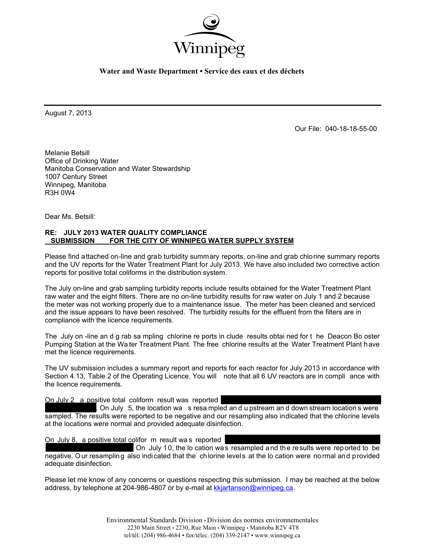

**Water and Waste Department • Service des eaux et des déchets** 

August 7, 2013

Our File: 040-18-18-55-00

Melanie Betsill Office of Drinking Water Manitoba Conservation and Water Stewardship 1007 Century Street Winnipeg, Manitoba R3H 0W4

Dear Ms. Betsill:

## **RE: JULY 2013 WATER QUALITY COMPLIANCE SUBMISSION FOR THE CITY OF WINNIPEG WATER SUPPLY SYSTEM**

Please find attached on-line and grab turbidity summary reports, on-line and grab chlorine summary reports and the UV reports for the Water Treatment Plant for July 2013. We have also included two corrective action reports for positive total coliforms in the distribution system.

The July on-line and grab sampling turbidity reports include results obtained for the Water Treatment Plant raw water and the eight filters. There are no on-line turbidity results for raw water on July 1 and 2 because the meter was not working properly due to a maintenance issue. The meter has been cleaned and serviced and the issue appears to have been resolved. The turbidity results for the effluent from the filters are in compliance with the licence requirements.

The July on -line an d g rab sa mpling chlorine re ports in clude results obtai ned for t he Deacon Bo oster Pumping Station at the Wa ter Treatment Plant. The free chlorine results at the Water Treatment Plant have met the licence requirements.

The UV submission includes a summary report and reports for each reactor for July 2013 in accordance with Section 4.13, Table 2 of the Operating Licence. You will note that all 6 UV reactors are in compli ance with the licence requirements.

On July 2 a positive total coliform result was reported

. On July 5, the location wa s resa mpled an d u pstream an d down stream location s were sampled. The results were reported to be negative and our resampling also indicated that the chlorine levels at the locations were normal and provided adequate disinfection.

On July 8, a positive total colifor m result wa s reported

 On July 10, the lo cation was resampled and the results were reported to be negative. Our resampling also indicated that the chlorine levels at the lo cation were normal and provided adequate disinfection.

Please let me know of any concerns or questions respecting this submission. I may be reached at the below address, by telephone at 204-986-4807 or by e-mail at kkjartanson@winnipeg.ca.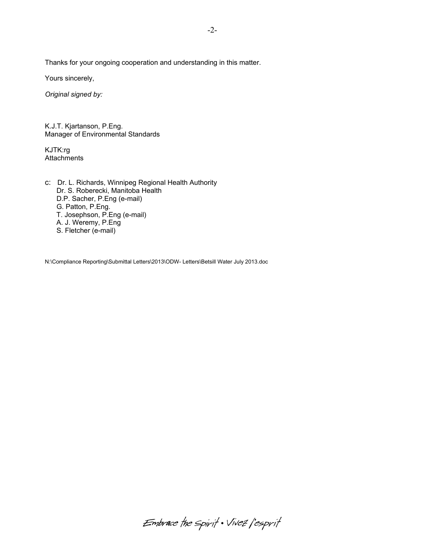Thanks for your ongoing cooperation and understanding in this matter.

Yours sincerely,

*Original signed by:* 

K.J.T. Kjartanson, P.Eng. Manager of Environmental Standards

KJTK:rg **Attachments** 

c: Dr. L. Richards, Winnipeg Regional Health Authority Dr. S. Roberecki, Manitoba Health D.P. Sacher, P.Eng (e-mail) G. Patton, P.Eng. T. Josephson, P.Eng (e-mail) A. J. Weremy, P.Eng S. Fletcher (e-mail)

N:\Compliance Reporting\Submittal Letters\2013\ODW- Letters\Betsill Water July 2013.doc

Embrace the spirit . Vivez l'esprit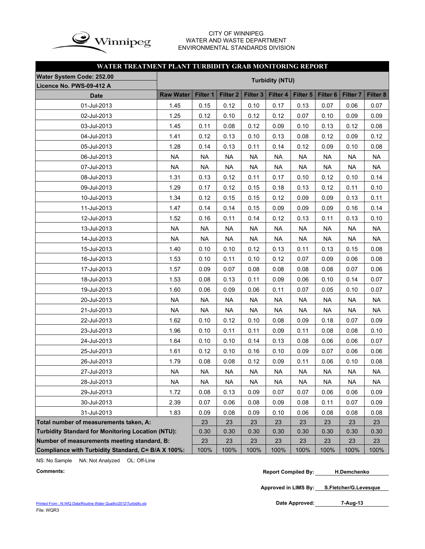

## CITY OF WINNIPEG WATER AND WASTE DEPARTMENT ENVIRONMENTAL STANDARDS DIVISION

## **WATER TREATMENT PLANT TURBIDITY GRAB MONITORING REPORT**

| <b>Water System Code: 252.00</b>                   |                                                                                                                                                                                                                                                                                              |           |           |           |                        |           |           |           |           |  |  |  |  |  |
|----------------------------------------------------|----------------------------------------------------------------------------------------------------------------------------------------------------------------------------------------------------------------------------------------------------------------------------------------------|-----------|-----------|-----------|------------------------|-----------|-----------|-----------|-----------|--|--|--|--|--|
| Licence No. PWS-09-412 A                           |                                                                                                                                                                                                                                                                                              |           |           |           | <b>Turbidity (NTU)</b> |           |           |           |           |  |  |  |  |  |
| <b>Date</b>                                        | <b>Raw Water</b><br>Filter 1<br>Filter <sub>3</sub><br>Filter <sub>6</sub><br>Filter 8<br>Filter <sub>2</sub><br>Filter 4<br>Filter 5<br>Filter <sub>7</sub><br>1.45<br>0.15<br>0.12<br>0.10<br>0.17<br>0.13<br>0.07<br>0.06<br>1.25<br>0.12<br>0.10<br>0.12<br>0.12<br>0.07<br>0.10<br>0.09 |           |           |           |                        |           |           |           |           |  |  |  |  |  |
| 01-Jul-2013                                        |                                                                                                                                                                                                                                                                                              |           |           |           |                        |           |           |           | 0.07      |  |  |  |  |  |
| 02-Jul-2013                                        |                                                                                                                                                                                                                                                                                              |           |           |           |                        |           |           |           | 0.09      |  |  |  |  |  |
| 03-Jul-2013                                        | 1.45                                                                                                                                                                                                                                                                                         | 0.11      | 0.08      | 0.12      | 0.09                   | 0.10      | 0.13      | 0.12      | 0.08      |  |  |  |  |  |
| 04-Jul-2013                                        | 1.41                                                                                                                                                                                                                                                                                         | 0.12      | 0.13      | 0.10      | 0.13                   | 0.08      | 0.12      | 0.09      | 0.12      |  |  |  |  |  |
| 05-Jul-2013                                        | 1.28                                                                                                                                                                                                                                                                                         | 0.14      | 0.13      | 0.11      | 0.14                   | 0.12      | 0.09      | 0.10      | 0.08      |  |  |  |  |  |
| 06-Jul-2013                                        | <b>NA</b>                                                                                                                                                                                                                                                                                    | <b>NA</b> | <b>NA</b> | <b>NA</b> | <b>NA</b>              | <b>NA</b> | <b>NA</b> | <b>NA</b> | <b>NA</b> |  |  |  |  |  |
| 07-Jul-2013                                        | <b>NA</b>                                                                                                                                                                                                                                                                                    | <b>NA</b> | <b>NA</b> | <b>NA</b> | <b>NA</b>              | <b>NA</b> | <b>NA</b> | <b>NA</b> | <b>NA</b> |  |  |  |  |  |
| 08-Jul-2013                                        | 1.31                                                                                                                                                                                                                                                                                         | 0.13      | 0.12      | 0.11      | 0.17                   | 0.10      | 0.12      | 0.10      | 0.14      |  |  |  |  |  |
| 09-Jul-2013                                        | 1.29<br>0.12<br>0.18<br>0.13<br>0.12<br>0.11<br>0.17<br>0.15                                                                                                                                                                                                                                 |           |           |           |                        |           |           |           |           |  |  |  |  |  |
| 10-Jul-2013                                        | 1.34<br>0.12<br>0.15<br>0.15<br>0.12<br>0.09<br>0.09<br>0.11<br>0.13                                                                                                                                                                                                                         |           |           |           |                        |           |           |           |           |  |  |  |  |  |
| 11-Jul-2013                                        | 1.47<br>0.09<br>0.09<br>0.09<br>0.14<br>0.14<br>0.14<br>0.15<br>0.16<br>0.10                                                                                                                                                                                                                 |           |           |           |                        |           |           |           |           |  |  |  |  |  |
| 12-Jul-2013                                        | 1.52<br>0.16<br>0.11<br>0.14<br>0.12<br>0.13<br>0.11<br>0.13                                                                                                                                                                                                                                 |           |           |           |                        |           |           |           |           |  |  |  |  |  |
| 13-Jul-2013                                        | <b>NA</b>                                                                                                                                                                                                                                                                                    | <b>NA</b> | <b>NA</b> | <b>NA</b> | <b>NA</b>              | <b>NA</b> | <b>NA</b> | <b>NA</b> | <b>NA</b> |  |  |  |  |  |
| 14-Jul-2013                                        | <b>NA</b>                                                                                                                                                                                                                                                                                    | <b>NA</b> | <b>NA</b> | <b>NA</b> | <b>NA</b>              | <b>NA</b> | <b>NA</b> | <b>NA</b> | <b>NA</b> |  |  |  |  |  |
| 15-Jul-2013                                        | 1.40                                                                                                                                                                                                                                                                                         | 0.10      | 0.10      | 0.12      | 0.13                   | 0.11      | 0.13      | 0.15      | 0.08      |  |  |  |  |  |
| 16-Jul-2013                                        | 1.53                                                                                                                                                                                                                                                                                         | 0.10      | 0.11      | 0.10      | 0.12                   | 0.07      | 0.09      | 0.06      | 0.08      |  |  |  |  |  |
| 17-Jul-2013                                        | 1.57                                                                                                                                                                                                                                                                                         | 0.09      | 0.07      | 0.08      | 0.08                   | 0.08      | 0.08      | 0.07      | 0.06      |  |  |  |  |  |
| 18-Jul-2013                                        | 1.53                                                                                                                                                                                                                                                                                         | 0.08      | 0.13      | 0.11      | 0.09                   | 0.06      | 0.10      | 0.14      | 0.07      |  |  |  |  |  |
| 19-Jul-2013                                        | 1.60                                                                                                                                                                                                                                                                                         | 0.06      | 0.09      | 0.06      | 0.11                   | 0.07      | 0.05      | 0.10      | 0.07      |  |  |  |  |  |
| 20-Jul-2013                                        | <b>NA</b>                                                                                                                                                                                                                                                                                    | <b>NA</b> | <b>NA</b> | <b>NA</b> | <b>NA</b>              | <b>NA</b> | <b>NA</b> | <b>NA</b> | <b>NA</b> |  |  |  |  |  |
| 21-Jul-2013                                        | <b>NA</b>                                                                                                                                                                                                                                                                                    | <b>NA</b> | <b>NA</b> | <b>NA</b> | <b>NA</b>              | <b>NA</b> | <b>NA</b> | <b>NA</b> | <b>NA</b> |  |  |  |  |  |
| 22-Jul-2013                                        | 1.62                                                                                                                                                                                                                                                                                         | 0.10      | 0.12      | 0.10      | 0.08                   | 0.09      | 0.18      | 0.07      | 0.09      |  |  |  |  |  |
| 23-Jul-2013                                        | 1.96                                                                                                                                                                                                                                                                                         | 0.10      | 0.11      | 0.11      | 0.09                   | 0.11      | 0.08      | 0.08      | 0.10      |  |  |  |  |  |
| 24-Jul-2013                                        | 1.64                                                                                                                                                                                                                                                                                         | 0.10      | 0.10      | 0.14      | 0.13                   | 0.08      | 0.06      | 0.06      | 0.07      |  |  |  |  |  |
| 25-Jul-2013                                        | 1.61                                                                                                                                                                                                                                                                                         | 0.12      | 0.10      | 0.16      | 0.10                   | 0.09      | 0.07      | 0.06      | 0.06      |  |  |  |  |  |
| 26-Jul-2013                                        | 1.79                                                                                                                                                                                                                                                                                         | 0.08      | 0.08      | 0.12      | 0.09                   | 0.11      | 0.06      | 0.10      | 0.08      |  |  |  |  |  |
| 27-Jul-2013                                        | <b>NA</b>                                                                                                                                                                                                                                                                                    | <b>NA</b> | <b>NA</b> | <b>NA</b> | <b>NA</b>              | <b>NA</b> | <b>NA</b> | <b>NA</b> | <b>NA</b> |  |  |  |  |  |
| 28-Jul-2013                                        | <b>NA</b>                                                                                                                                                                                                                                                                                    | $\sf NA$  | <b>NA</b> | <b>NA</b> | $\sf NA$               | <b>NA</b> | <b>NA</b> | $\sf NA$  | <b>NA</b> |  |  |  |  |  |
| 29-Jul-2013                                        | 1.72                                                                                                                                                                                                                                                                                         | 0.08      | 0.13      | 0.09      | 0.07                   | 0.07      | 0.06      | 0.06      | 0.09      |  |  |  |  |  |
| 30-Jul-2013                                        | 2.39                                                                                                                                                                                                                                                                                         | 0.07      | 0.06      | 0.08      | 0.09                   | 0.08      | 0.11      | 0.07      | 0.09      |  |  |  |  |  |
| 31-Jul-2013                                        | 1.83                                                                                                                                                                                                                                                                                         | 0.09      | 0.08      | 0.09      | 0.10                   | 0.06      | 0.08      | 0.08      | 0.08      |  |  |  |  |  |
| Total number of measurements taken, A:             |                                                                                                                                                                                                                                                                                              | 23        | 23        | 23        | 23                     | 23        | 23        | 23        | 23        |  |  |  |  |  |
| Turbidity Standard for Monitoring Location (NTU):  |                                                                                                                                                                                                                                                                                              | 0.30      | 0.30      | 0.30      | 0.30                   | 0.30      | 0.30      | 0.30      | 0.30      |  |  |  |  |  |
| Number of measurements meeting standard, B:        |                                                                                                                                                                                                                                                                                              | 23        | 23        | 23        | 23                     | 23        | 23        | 23        | 23        |  |  |  |  |  |
| Compliance with Turbidity Standard, C= B/A X 100%: |                                                                                                                                                                                                                                                                                              | 100%      | 100%      | 100%      | 100%                   | 100%      | 100%      | 100%      | 100%      |  |  |  |  |  |

NS: No Sample NA: Not Analyzed OL: Off-Line

```
Comments: Report Compiled By:
H.Demchenko
```
**Approved in LIMS By: S.Fletcher/G.Levesque**

**7-Aug-13**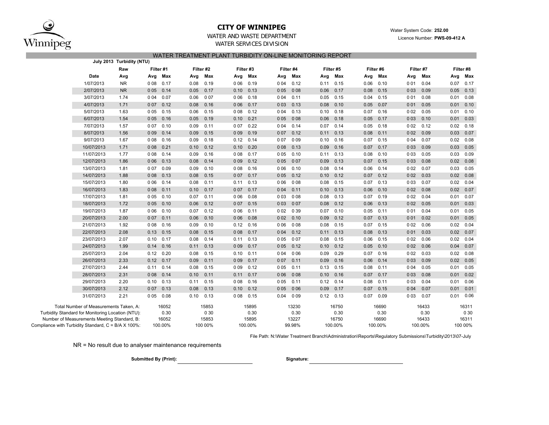

## **CITY OF WINNIPEG**

## WATER AND WASTE DEPARTMENTWATER SERVICES DIVISION

WATER TREATMENT PLANT TURBIDITY ON-LINE MONITORING REPORT

|                                                     |                                        | July 2013 Turbidity (NTU) |             |         |      |           |               |           |       |           |      |           |             |             |       |           |      |           |
|-----------------------------------------------------|----------------------------------------|---------------------------|-------------|---------|------|-----------|---------------|-----------|-------|-----------|------|-----------|-------------|-------------|-------|-----------|------|-----------|
|                                                     |                                        | Raw                       | Filter #1   |         |      | Filter #2 |               | Filter #3 |       | Filter #4 |      | Filter #5 |             | Filter #6   |       | Filter #7 |      | Filter #8 |
|                                                     | Date                                   | Avg                       | Avg         | Max     | Avg  | Max       | Avg           | Max       | Avg   | Max       | Avg  | Max       | Avg         | Max         | Avg   | Max       | Avg  | Max       |
|                                                     | 1/07/2013                              | <b>NR</b>                 | 008         | 0.17    | 0.08 | 0.19      | 0 0 6         | 0.19      | 0 0 4 | 0.12      | 0.11 | 0.15      | 0.06        | 0.10        | 001   | 0.04      | 0.07 | 0.17      |
|                                                     | 2/07/2013                              | <b>NR</b>                 | 005         | 0.14    | 0.05 | 0.17      | 0.10          | 0.13      | 0 0 5 | 008       | 0.06 | 0.17      | 0.08        | 0.15        | 0 0 3 | 0.09      | 0.05 | 0.13      |
|                                                     | 3/07/2013                              | 1.74                      | 004         | 0.07    | 0.06 | 007       | 0 0 6         | 0.18      | 0 0 4 | 0.11      | 0.05 | 0.15      | 0.04        | 0.15        | 001   | 0.08      | 0.01 | 0.08      |
|                                                     | 4/07/2013                              | 1.71                      | 007         | 0.12    | 0.08 | 0.16      | 0 0 6         | 0.17      | 003   | 0.13      | 0.08 | 0.10      | 0.05        | 0.07        | 001   | 0.05      | 0.01 | 0.10      |
|                                                     | 5/07/2013                              | 1.63                      | 005         | 0.15    | 0.06 | 0.15      | 008           | 0.12      | 0 0 4 | 0.13      | 0.10 | 0.18      | 0.07        | 0.16        | 002   | 0.05      | 0.01 | 0.10      |
|                                                     | 6/07/2013                              | 1.54                      | 0 0 5       | 0.16    | 0.05 | 0.19      | $0.10$ $0.21$ |           | 005   | 008       | 0.06 | 0.18      | $0.05$ 0.17 |             | 0 0 3 | 0.10      | 0.01 | 0.03      |
|                                                     | 7/07/2013                              | 1.57                      | 007         | 0.10    | 0.09 | 0.11      | 007           | 0.22      | 004   | 0.14      | 0.07 | 0.14      |             | $0.05$ 0.18 | 002   | 0.12      | 0.02 | 0.18      |
|                                                     | 8/07/2013                              | 1.56                      | 009         | 0.14    | 0.09 | 0.15      | 0 0 9         | 0.19      | 007   | 0.12      | 0.11 | 0.13      | 0.08        | 0.11        | 002   | 0.09      | 0.03 | 0.07      |
|                                                     | 9/07/2013                              | 1.67                      | 008         | 0.16    | 0.09 | 0.18      | $0.12$ 0.14   |           | 007   | 009       | 0.10 | 0.16      |             | $0.07$ 0.15 | 004   | 0.07      | 0.02 | 0.08      |
|                                                     | 10/07/2013                             | 1.71                      | 008         | 0.21    | 0.10 | 0.12      | 0.10          | 0.20      | 008   | 0.13      | 0.09 | 0.16      | 0.07        | 0.17        | 0 0 3 | 0.09      | 0.03 | 0.05      |
|                                                     | 11/07/2013                             | 1.77                      | 008         | 0.14    | 0.09 | 0.16      | 008           | 0.17      | 0 0 5 | 0.10      | 0.11 | 0.13      | 0.08        | 0.10        | 003   | 0.05      | 0.03 | 0.09      |
|                                                     | 12/07/2013                             | 1.86                      | 006         | 0.13    | 0.08 | 0.14      | 009           | 0.12      | 005   | 007       | 0.09 | 0.13      | 0.07        | 0.15        | 0 0 3 | 0.08      | 0.02 | 0.08      |
|                                                     | 13/07/2013                             | 1.81                      | 007         | 0.09    | 0.09 | 0.10      | 008           | 0.16      | 0 0 6 | 0.10      | 0.08 | 0.14      | 0.06        | 0.14        | 002   | 0.07      | 0.03 | 0.05      |
|                                                     | 14/07/2013                             | 1.88                      | 008         | 0.13    | 0.08 | 0.15      | 007           | 0.17      | 005   | 0.12      | 0.10 | 0.12      | 0.07        | 0.12        | 002   | 0.03      | 0.02 | 0.08      |
|                                                     | 15/07/2013                             | 1.80                      | 006         | 0.14    | 0.08 | 0.11      | 0.11          | 0.13      | 0 0 6 | 008       | 0.08 | 0.15      | 0.07        | 0.13        | 003   | 0.07      | 0.02 | 0.04      |
|                                                     | 16/07/2013                             | 1.83                      | 008         | 0.11    | 0.10 | 0.17      | 007           | 0.17      | 004   | 0.11      | 0.10 | 0.13      | 0.06        | 0.10        | 002   | 0.08      | 0.02 | 0.07      |
|                                                     | 17/07/2013                             | 1.81                      | 005         | 0.10    | 0.07 | 0.11      | 0 0 6         | 0.08      | 0 0 3 | 008       | 0.08 | 0.13      | 0.07        | 0.19        | 002   | 0.04      | 0.01 | 0.07      |
|                                                     | 18/07/2013                             | 1.72                      | 005         | 0.10    | 0.06 | 0.12      | 007           | 0.15      | 003   | 007       | 0.08 | 0.12      | 0.06        | 0.13        | 002   | 0.05      | 0.01 | 0.03      |
|                                                     | 19/07/2013                             | 1.87                      | 006         | 0.10    | 0.07 | 0.12      | 0 0 6         | 0.11      | 002   | 039       | 0.07 | 0.10      | $0.05$ 0.11 |             | 001   | 0.04      | 0.01 | 0.05      |
|                                                     | 20/07/2013                             | 2.00                      | 007         | 0.11    | 0.06 | 0.10      | 0 0 6         | 0.08      | 002   | 0.10      | 0.09 | 0.12      | 0.07        | 0.13        | 001   | 0.02      | 0.01 | 0.05      |
|                                                     | 21/07/2013                             | 1.92                      | 008         | 0.16    | 0.09 | 0.10      | 0.12          | 0.16      | 006   | 008       | 0.08 | 0.15      | 0.07        | 0.15        | 002   | 0.06      | 0.02 | 0.04      |
|                                                     | 22/07/2013                             | 2.08                      | 0.13        | 0.15    | 0.08 | 0.15      | 008           | 0.17      | 004   | 0.12      | 0.11 | 0.13      | 0.08        | 0.13        | 001   | 0.03      | 0.02 | 0.07      |
|                                                     | 23/07/2013                             | 2.07                      | 0.10        | 0.17    | 0.08 | 0.14      | 0.11          | 0.13      | 005   | 007       | 0.08 | 0.15      |             | $0.06$ 0.15 | 002   | 0.06      | 0.02 | 0.04      |
|                                                     | 24/07/2013                             | 1.99                      | 0.14        | 0.16    | 0.11 | 0.13      | 0 0 9         | 0.17      | 005   | 0.12      | 0.10 | 0.12      | 0.05        | 0.10        | 002   | 0.06      | 0.04 | 0.07      |
|                                                     | 25/07/2013                             | 2.04                      | 0.12        | 0.20    | 0.08 | 0.15      | 0.10          | 0.11      | 0 0 4 | 006       | 0.09 | 0.29      | 0.07        | 0.16        | 002   | 0.03      | 0.02 | 0.08      |
|                                                     | 26/07/2013                             | 2.33                      | $0.12$ 0.17 |         | 0.09 | 0.11      | 0 0 9         | 0.17      | 007   | 0.11      | 0.09 | 0.16      | 0.06        | 0.14        | 0 0 3 | 0.09      | 0.02 | 0.05      |
|                                                     | 27/07/2013                             | 2.44                      | 0.11        | 0.14    | 0.08 | 0.15      | 009           | 0.12      | 0 0 5 | 0.11      | 0.13 | 0.15      | $0.08$ 0.11 |             | 004   | 0.05      | 0.01 | 0.05      |
|                                                     | 28/07/2013                             | 2.31                      | 0 08 0.14   |         | 0.10 | 0.11      | $0.11$ 0.17   |           | 006   | 008       | 0.10 | 0.16      | 0.07        | 0.17        | 0 0 3 | 0.08      | 0.01 | 0.02      |
|                                                     | 29/07/2013                             | 2.20                      | 0.10        | 0.13    | 0.11 | 0.15      | 008           | 0.16      | 005   | 0.11      | 0.12 | 0.14      | 0.08        | 0.11        | 0 0 3 | 0.04      | 0.01 | 0.06      |
|                                                     | 30/07/2013                             | 2.12                      | 0 07 0.13   |         | 0.08 | 0.13      | 0.10          | 0.12      | 005   | 006       | 0.09 | 0.17      | 0.07        | 0.15        | 004   | 0.07      | 0.01 | 0.01      |
|                                                     | 31/07/2013                             | 2.21                      | 0 0 5       | 0.08    | 0.10 | 0.13      | 008           | 0.15      | 0.04  | 009       | 0.12 | 0.13      | 0.07        | 0.09        | 0 0 3 | 0.07      | 0.01 | 0.06      |
|                                                     | Total Number of Measurements Taken, A: |                           |             | 16052   |      | 15853     |               | 15895     |       | 13230     |      | 16750     |             | 16690       |       | 16433     |      | 16311     |
| Turbidity Standard for Monitoring Location (NTU):   |                                        |                           |             | 0.30    |      | 0 30      |               | 0.30      |       | 0.30      |      | 0.30      |             | 0.30        |       | 0.30      |      | 0 30      |
| Number of Measurements Meeting Standard, B:         |                                        |                           |             | 16052   |      | 15853     |               | 15895     |       | 13227     |      | 16750     |             | 16690       |       | 16433     |      | 16311     |
| Compliance with Turbidity Standard, C = B/A X 100%: |                                        |                           |             | 100.00% |      | 100 00%   |               | 100.00%   |       | 99.98%    |      | 100.00%   |             | 100.00%     |       | 100.00%   |      | 100 00%   |

File Path: N:\Water Treatment Branch\Administration\Reports\Regulatory Submissions\Turbidity\2013\07-July

NR = No result due to analyser maintenance requirements

**Submitted By (Print): Signature:**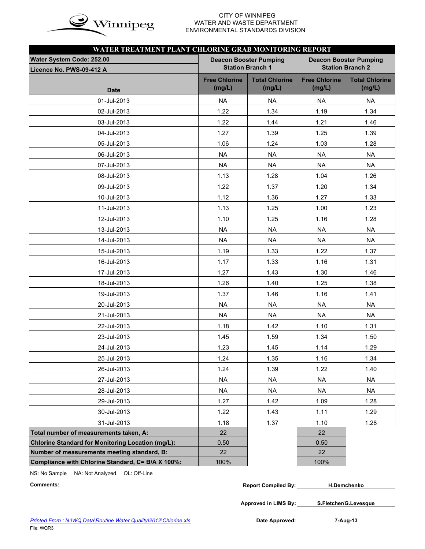

## CITY OF WINNIPEG  $\mathbf{in}$   $\mathbf{\alpha}$  WATER AND WASTE DEPARTMENT ENVIRONMENTAL STANDARDS DIVISION

| WATER TREATMENT PLANT CHLORINE GRAB MONITORING REPORT    |                                |                                                          |                                                          |                                 |  |  |  |  |
|----------------------------------------------------------|--------------------------------|----------------------------------------------------------|----------------------------------------------------------|---------------------------------|--|--|--|--|
| Water System Code: 252.00<br>Licence No. PWS-09-412 A    |                                | <b>Deacon Booster Pumping</b><br><b>Station Branch 1</b> | <b>Deacon Booster Pumping</b><br><b>Station Branch 2</b> |                                 |  |  |  |  |
| <b>Date</b>                                              | <b>Free Chlorine</b><br>(mg/L) | <b>Total Chlorine</b><br>(mg/L)                          | <b>Free Chlorine</b><br>(mg/L)                           | <b>Total Chlorine</b><br>(mg/L) |  |  |  |  |
| 01-Jul-2013                                              | <b>NA</b>                      | <b>NA</b>                                                | <b>NA</b>                                                | <b>NA</b>                       |  |  |  |  |
| 02-Jul-2013                                              | 1.22                           | 1.34                                                     | 1.19                                                     | 1.34                            |  |  |  |  |
| 03-Jul-2013                                              | 1.22                           | 1.44                                                     | 1.21                                                     | 1.46                            |  |  |  |  |
| 04-Jul-2013                                              | 1.27                           | 1.39                                                     | 1.25                                                     | 1.39                            |  |  |  |  |
| 05-Jul-2013                                              | 1.06                           | 1.24                                                     | 1.03                                                     | 1.28                            |  |  |  |  |
| 06-Jul-2013                                              | <b>NA</b>                      | <b>NA</b>                                                | <b>NA</b>                                                | <b>NA</b>                       |  |  |  |  |
| 07-Jul-2013                                              | <b>NA</b>                      | <b>NA</b>                                                | <b>NA</b>                                                | <b>NA</b>                       |  |  |  |  |
| 08-Jul-2013                                              | 1.13                           | 1.28                                                     | 1.04                                                     | 1.26                            |  |  |  |  |
| 09-Jul-2013                                              | 1.22                           | 1.37                                                     | 1.20                                                     | 1.34                            |  |  |  |  |
| 10-Jul-2013                                              | 1.12                           | 1.36                                                     | 1.27                                                     | 1.33                            |  |  |  |  |
| 11-Jul-2013                                              | 1.13                           | 1.25                                                     | 1.00                                                     | 1.23                            |  |  |  |  |
| 12-Jul-2013                                              | 1.10                           | 1.25                                                     | 1.16                                                     | 1.28                            |  |  |  |  |
| 13-Jul-2013                                              | <b>NA</b>                      | <b>NA</b>                                                | <b>NA</b>                                                | <b>NA</b>                       |  |  |  |  |
| 14-Jul-2013                                              | <b>NA</b>                      | <b>NA</b>                                                | <b>NA</b>                                                | <b>NA</b>                       |  |  |  |  |
| 15-Jul-2013                                              | 1.19                           | 1.33                                                     | 1.22                                                     | 1.37                            |  |  |  |  |
| 16-Jul-2013                                              | 1.17                           | 1.33                                                     | 1.16                                                     | 1.31                            |  |  |  |  |
| 17-Jul-2013                                              | 1.27                           | 1.43                                                     | 1.30                                                     | 1.46                            |  |  |  |  |
| 18-Jul-2013                                              | 1.26                           | 1.40                                                     | 1.25                                                     | 1.38                            |  |  |  |  |
| 19-Jul-2013                                              | 1.37                           | 1.46                                                     | 1.16                                                     | 1.41                            |  |  |  |  |
| 20-Jul-2013                                              | <b>NA</b>                      | <b>NA</b>                                                | <b>NA</b>                                                | <b>NA</b>                       |  |  |  |  |
| 21-Jul-2013                                              | <b>NA</b>                      | <b>NA</b>                                                | <b>NA</b>                                                | <b>NA</b>                       |  |  |  |  |
| 22-Jul-2013                                              | 1.18                           | 1.42                                                     | 1.10                                                     | 1.31                            |  |  |  |  |
| 23-Jul-2013                                              | 1.45                           | 1.59                                                     | 1.34                                                     | 1.50                            |  |  |  |  |
| 24-Jul-2013                                              | 1.23                           | 1.45                                                     | 1.14                                                     | 1.29                            |  |  |  |  |
| 25-Jul-2013                                              | 1.24                           | 1.35                                                     | 1.16                                                     | 1.34                            |  |  |  |  |
| 26-Jul-2013                                              | 1.24                           | 1.39                                                     | 1.22                                                     | 1.40                            |  |  |  |  |
| 27-Jul-2013                                              | <b>NA</b>                      | <b>NA</b>                                                | <b>NA</b>                                                | <b>NA</b>                       |  |  |  |  |
| 28-Jul-2013                                              | <b>NA</b>                      | <b>NA</b>                                                | <b>NA</b>                                                | <b>NA</b>                       |  |  |  |  |
| 29-Jul-2013                                              | 1.27                           | 1.42                                                     | 1.09                                                     | 1.28                            |  |  |  |  |
| 30-Jul-2013                                              | 1.22                           | 1.43                                                     | 1.11                                                     | 1.29                            |  |  |  |  |
| 31-Jul-2013                                              | 1.18                           | 1.37                                                     | 1.10                                                     | 1.28                            |  |  |  |  |
| Total number of measurements taken, A:                   | 22                             |                                                          | 22                                                       |                                 |  |  |  |  |
| <b>Chlorine Standard for Monitoring Location (mg/L):</b> | 0.50                           |                                                          | 0.50                                                     |                                 |  |  |  |  |
| Number of measurements meeting standard, B:              | 22                             |                                                          | 22                                                       |                                 |  |  |  |  |
| Compliance with Chlorine Standard, C= B/A X 100%:        | 100%                           |                                                          | 100%                                                     |                                 |  |  |  |  |

NS: No Sample NA: Not Analyzed OL: Off-Line

| Comments: | <b>Report Compiled By:</b> | <b>H.Demchenko</b> |  |
|-----------|----------------------------|--------------------|--|
|-----------|----------------------------|--------------------|--|

**Approved in LIMS By: S.Fletcher/G.Levesque**

Date Approved: 7-Aug-13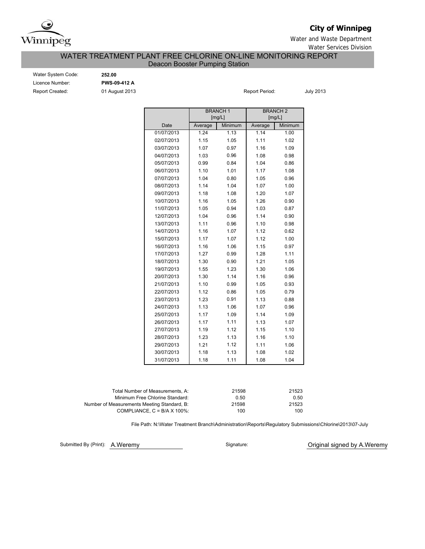

# **City of Winnipeg**

Water and Waste Department

Water Services Division

## WATER TREATMENT PLANT FREE CHLORINE ON-LINE MONITORING REPORT Deacon Booster Pumping Station

Report Created: 01 August 2013 Water System Code: **252.00** Licence Number: **PWS-09-412 A**

Report Period: July 2013

|            |         | <b>BRANCH1</b><br>[mg/L] |         | <b>BRANCH2</b><br>[mg/L] |  |  |  |  |
|------------|---------|--------------------------|---------|--------------------------|--|--|--|--|
| Date       | Average | Minimum                  | Average | Minimum                  |  |  |  |  |
| 01/07/2013 | 1.24    | 1.13                     | 1.14    | 1.00                     |  |  |  |  |
| 02/07/2013 | 1.15    | 1.05                     | 1.11    | 1.02                     |  |  |  |  |
| 03/07/2013 | 1.07    | 0.97                     | 1.16    | 1.09                     |  |  |  |  |
| 04/07/2013 | 1.03    | 0.96                     | 1.08    | 0.98                     |  |  |  |  |
| 05/07/2013 | 0.99    | 0.84                     | 1.04    | 0.86                     |  |  |  |  |
| 06/07/2013 | 1.10    | 1.01                     | 1.17    | 1.08                     |  |  |  |  |
| 07/07/2013 | 1.04    | 0.80                     | 1.05    | 0.96                     |  |  |  |  |
| 08/07/2013 | 1.14    | 1.04                     | 1.07    | 1.00                     |  |  |  |  |
| 09/07/2013 | 1.18    | 1.08                     | 1.20    | 1.07                     |  |  |  |  |
| 10/07/2013 | 1.16    | 1.05                     | 1.26    | 0.90                     |  |  |  |  |
| 11/07/2013 | 1.05    | 0.94                     | 1.03    | 0.87                     |  |  |  |  |
| 12/07/2013 | 1.04    | 0.96                     | 1.14    | 0.90                     |  |  |  |  |
| 13/07/2013 | 1.11    | 0.96                     | 1.10    | 0.98                     |  |  |  |  |
| 14/07/2013 | 1.16    | 1.07                     | 1.12    | 0.62                     |  |  |  |  |
| 15/07/2013 | 1.17    | 1.07                     | 1.12    | 1.00                     |  |  |  |  |
| 16/07/2013 | 1.16    | 1.06                     | 1.15    | 0.97                     |  |  |  |  |
| 17/07/2013 | 1.27    | 0.99                     | 1.28    | 1.11                     |  |  |  |  |
| 18/07/2013 | 1.30    | 0.90                     | 1.21    | 1.05                     |  |  |  |  |
| 19/07/2013 | 1.55    | 1.23                     | 1.30    | 1.06                     |  |  |  |  |
| 20/07/2013 | 1.30    | 1.14                     | 1.16    | 0.96                     |  |  |  |  |
| 21/07/2013 | 1.10    | 0.99                     | 1.05    | 0.93                     |  |  |  |  |
| 22/07/2013 | 1.12    | 0.86                     | 1.05    | 0.79                     |  |  |  |  |
| 23/07/2013 | 1.23    | 0.91                     | 1.13    | 0.88                     |  |  |  |  |
| 24/07/2013 | 1.13    | 1.06                     | 1.07    | 0.96                     |  |  |  |  |
| 25/07/2013 | 1.17    | 1.09                     | 1.14    | 1.09                     |  |  |  |  |
| 26/07/2013 | 1.17    | 1.11                     | 1.13    | 1.07                     |  |  |  |  |
| 27/07/2013 | 1.19    | 1.12                     | 1.15    | 1.10                     |  |  |  |  |
| 28/07/2013 | 1.23    | 1.13                     | 1.16    | 1.10                     |  |  |  |  |
| 29/07/2013 | 1.21    | 1.12                     | 1.11    | 1.06                     |  |  |  |  |
| 30/07/2013 | 1.18    | 1.13                     | 1.08    | 1.02                     |  |  |  |  |
| 31/07/2013 | 1.18    | 1.11                     | 1.08    | 1.04                     |  |  |  |  |

| Total Number of Measurements, A:            | 21598 | 21523 |
|---------------------------------------------|-------|-------|
| Minimum Free Chlorine Standard:             | 0.50  | 0.50  |
| Number of Measurements Meeting Standard. B: | 21598 | 21523 |
| COMPLIANCE, $C = B/A \times 100\%$          | 100   | 100   |

File Path: N:\Water Treatment Branch\Administration\Reports\Regulatory Submissions\Chlorine\2013\07-July

Submitted By (Print): A.Weremy

Signature: **Original signed by A.Weremy**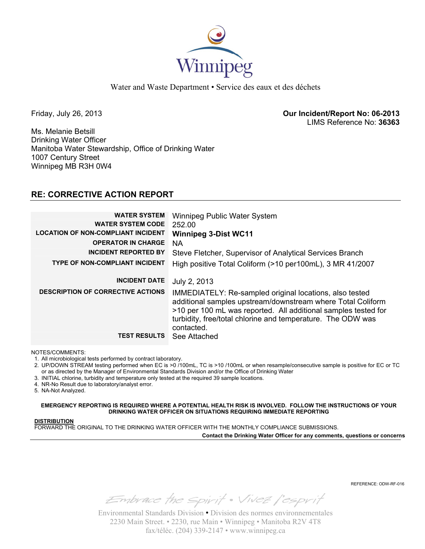

Water and Waste Department • Service des eaux et des déchets

Friday, July 26, 2013 **Our Incident/Report No: 06-2013**  LIMS Reference No: **36363**

Ms. Melanie Betsill Drinking Water Officer Manitoba Water Stewardship, Office of Drinking Water 1007 Century Street Winnipeg MB R3H 0W4

# **RE: CORRECTIVE ACTION REPORT**

| <b>WATER SYSTEM</b><br><b>WATER SYSTEM CODE</b><br><b>LOCATION OF NON-COMPLIANT INCIDENT</b><br><b>OPERATOR IN CHARGE</b><br><b>INCIDENT REPORTED BY</b> | Winnipeg Public Water System<br>252.00<br><b>Winnipeg 3-Dist WC11</b><br><b>NA</b><br>Steve Fletcher, Supervisor of Analytical Services Branch                                                           |
|----------------------------------------------------------------------------------------------------------------------------------------------------------|----------------------------------------------------------------------------------------------------------------------------------------------------------------------------------------------------------|
| <b>TYPE OF NON-COMPLIANT INCIDENT</b>                                                                                                                    | High positive Total Coliform (>10 per100mL), 3 MR 41/2007                                                                                                                                                |
| <b>INCIDENT DATE</b><br><b>DESCRIPTION OF CORRECTIVE ACTIONS</b>                                                                                         | July 2, 2013<br>IMMEDIATELY: Re-sampled original locations, also tested<br>additional samples upstream/downstream where Total Coliform<br>>10 per 100 mL was reported. All additional samples tested for |
| <b>TEST RESULTS</b>                                                                                                                                      | turbidity, free/total chlorine and temperature. The ODW was<br>contacted.<br>See Attached                                                                                                                |

NOTES/COMMENTS:

1. All microbiological tests performed by contract laboratory.

2. UP/DOWN STREAM testing performed when EC is >0 /100mL, TC is >10 /100mL or when resample/consecutive sample is positive for EC or TC or as directed by the Manager of Environmental Standards Division and/or the Office of Drinking Water

3. INITIAL chlorine, turbidity and temperature only tested at the required 39 sample locations.

4. NR-No Result due to laboratory/analyst error.

5. NA-Not Analyzed.

**EMERGENCY REPORTING IS REQUIRED WHERE A POTENTIAL HEALTH RISK IS INVOLVED. FOLLOW THE INSTRUCTIONS OF YOUR DRINKING WATER OFFICER ON SITUATIONS REQUIRING IMMEDIATE REPORTING**

## **DISTRIBUTION**

FORWARD THE ORIGINAL TO THE DRINKING WATER OFFICER WITH THE MONTHLY COMPLIANCE SUBMISSIONS.

**Contact the Drinking Water Officer for any comments, questions or concerns**

REFERENCE: ODW-RF-016

Embrace the spirit . Vivez l'esprit

Environmental Standards Division • Division des normes environnementales 2230 Main Street. • 2230, rue Main • Winnipeg • Manitoba R2V 4T8 fax/téléc. (204) 339-2147 • www.winnipeg.ca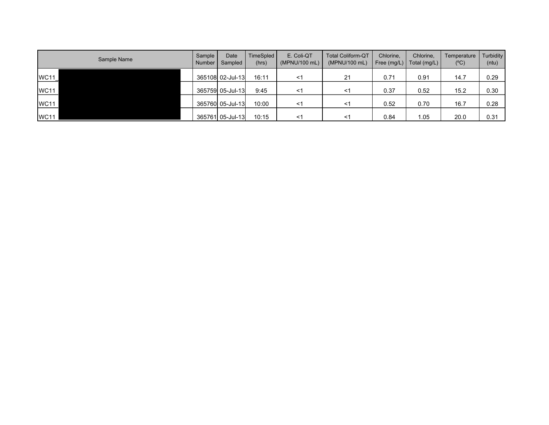| Sample Name | Sample<br>Number | Date<br>Sampled  | TimeSpled<br>(hrs) | E. Coli-QT<br>(MPNU/100 mL) | <b>Total Coliform-QT</b><br>(MPNU/100 mL) | Chlorine,<br>Free (mg/L) | Chlorine,<br>Total (mg/L) | Temperature<br>$(^{\circ}C)$ | <b>Turbidity</b><br>(ntu) |
|-------------|------------------|------------------|--------------------|-----------------------------|-------------------------------------------|--------------------------|---------------------------|------------------------------|---------------------------|
| <b>WC11</b> |                  | 365108 02-Jul-13 | 16:11              | <1                          | 21                                        | 0.71                     | 0.91                      | 14.7                         | 0.29                      |
| <b>WC11</b> |                  | 365759 05-Jul-13 | 9:45               | <1                          | <1                                        | 0.37                     | 0.52                      | 15.2                         | 0.30                      |
| <b>WC11</b> |                  | 365760 05-Jul-13 | 10:00              | <1                          | <1                                        | 0.52                     | 0.70                      | 16.7                         | 0.28                      |
| <b>WC11</b> |                  | 365761 05-Jul-13 | 10:15              | $\leq$ 1                    | -1                                        | 0.84                     | 1.05                      | 20.0                         | 0.31                      |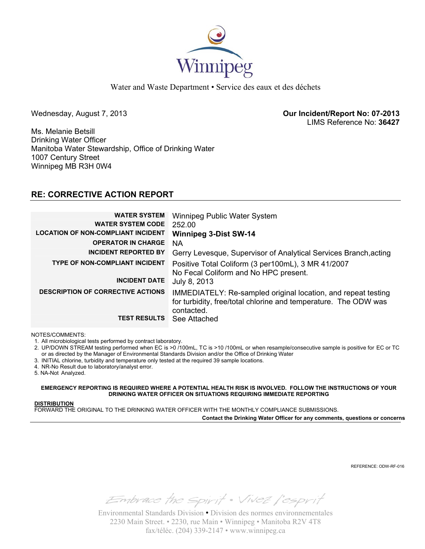

Water and Waste Department • Service des eaux et des déchets

Wednesday, August 7, 2013 **Our Incident/Report No: 07-2013**  LIMS Reference No: **36427**

Ms. Melanie Betsill Drinking Water Officer Manitoba Water Stewardship, Office of Drinking Water 1007 Century Street Winnipeg MB R3H 0W4

# **RE: CORRECTIVE ACTION REPORT**

| <b>WATER SYSTEM</b><br><b>WATER SYSTEM CODE</b><br><b>LOCATION OF NON-COMPLIANT INCIDENT</b> | Winnipeg Public Water System<br>252.00<br><b>Winnipeg 3-Dist SW-14</b>                                                                         |
|----------------------------------------------------------------------------------------------|------------------------------------------------------------------------------------------------------------------------------------------------|
| <b>OPERATOR IN CHARGE</b>                                                                    | ΝA                                                                                                                                             |
| <b>INCIDENT REPORTED BY</b>                                                                  | Gerry Levesque, Supervisor of Analytical Services Branch, acting                                                                               |
| <b>TYPE OF NON-COMPLIANT INCIDENT</b>                                                        | Positive Total Coliform (3 per 100mL), 3 MR 41/2007<br>No Fecal Coliform and No HPC present.                                                   |
| <b>INCIDENT DATE</b>                                                                         | July 8, 2013                                                                                                                                   |
| <b>DESCRIPTION OF CORRECTIVE ACTIONS</b>                                                     | IMMEDIATELY: Re-sampled original location, and repeat testing<br>for turbidity, free/total chlorine and temperature. The ODW was<br>contacted. |
| <b>TEST RESULTS</b>                                                                          | See Attached                                                                                                                                   |

NOTES/COMMENTS:

1. All microbiological tests performed by contract laboratory.

2. UP/DOWN STREAM testing performed when EC is >0 /100mL, TC is >10 /100mL or when resample/consecutive sample is positive for EC or TC or as directed by the Manager of Environmental Standards Division and/or the Office of Drinking Water

3. INITIAL chlorine, turbidity and temperature only tested at the required 39 sample locations.

4. NR-No Result due to laboratory/analyst error.

5. NA-Not Analyzed.

**EMERGENCY REPORTING IS REQUIRED WHERE A POTENTIAL HEALTH RISK IS INVOLVED. FOLLOW THE INSTRUCTIONS OF YOUR DRINKING WATER OFFICER ON SITUATIONS REQUIRING IMMEDIATE REPORTING**

## **DISTRIBUTION**

FORWARD THE ORIGINAL TO THE DRINKING WATER OFFICER WITH THE MONTHLY COMPLIANCE SUBMISSIONS. **Contact the Drinking Water Officer for any comments, questions or concerns**

REFERENCE: ODW-RF-016

Embrace the spirit . Vivez l'esprit

Environmental Standards Division • Division des normes environnementales 2230 Main Street. • 2230, rue Main • Winnipeg • Manitoba R2V 4T8 fax/téléc. (204) 339-2147 • www.winnipeg.ca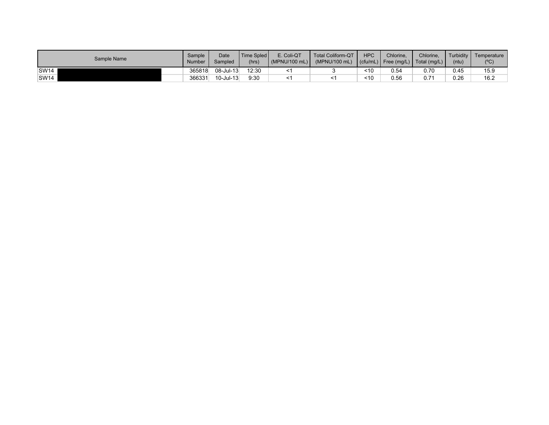| Sample Name      | Sample<br><b>Number</b> | Date<br>Sampled | Time Spled<br>(hrs) | E. Coli-QT<br>(MPNU/100 mL) | <b>Total Coliform-QT</b><br>(MPNU/100 mL) | <b>HPC</b> | Chlorine. | Chlorine.<br>$\left  \right $ (cfu/mL) $\left  \right $ Free (mg/L) $\left  \right $ Total (mg/L) $\left  \right $ | Turbidity  <br>(ntu) | Temperature<br>$(^{\circ}C)$ |
|------------------|-------------------------|-----------------|---------------------|-----------------------------|-------------------------------------------|------------|-----------|--------------------------------------------------------------------------------------------------------------------|----------------------|------------------------------|
| SW <sub>14</sub> | 365818                  | 08-Jul-13       | 12:30               |                             |                                           | ~10        | 0.54      | 0.70                                                                                                               | 0.45                 | 15.9                         |
| SW <sub>14</sub> | 366331                  | $10$ -Jul-13    | 9:30                |                             |                                           | 10         | 0.56      | $0.7^{\circ}$                                                                                                      | 0.26                 | 16.2                         |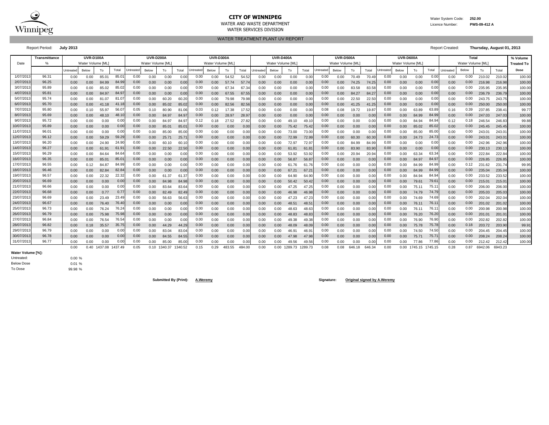

### **CITY OF WINNIPEG** WATER MATER WATER System Code: 252.00 WATER AND WASTE DEPARTMENT Licence Number: **PWS-09-412 A**

WATER SERVICES DIVISION

WATER TREATMENT PLANT UV REPORT

Report Period: **July 2013** Report Created: **Thursday, August 01, 2013**

|                                                | <b>Transmittance</b> | UVR-D100A<br><b>UVR-D200A</b><br>Water Volume [ML]<br>Water Volume [ML] |              |                |                |              |              | <b>UVR-D300A</b> |                |                  |                  | <b>UVR-D400A</b> |              |              |                   | <b>UVR-D500A</b> |               |                  |                  | UVR-D600A    |              |              |                   | Total           |              |              | % Volume          |                  |                  |                   |
|------------------------------------------------|----------------------|-------------------------------------------------------------------------|--------------|----------------|----------------|--------------|--------------|------------------|----------------|------------------|------------------|------------------|--------------|--------------|-------------------|------------------|---------------|------------------|------------------|--------------|--------------|--------------|-------------------|-----------------|--------------|--------------|-------------------|------------------|------------------|-------------------|
| Date                                           |                      |                                                                         |              |                |                |              |              |                  |                |                  | Water Volume IML |                  |              |              | Water Volume [ML] |                  |               |                  | Water Volume IML |              |              |              | Water Volume [ML] |                 |              |              | Water Volume [ML] |                  |                  | <b>Treated To</b> |
|                                                |                      | Untreated                                                               | Below        | To             | Total          | Untreated    | Below        | To               | Total          | <b>Jntreated</b> | Below            | To               | Total        | Untreated    | Below             | To               | Total         | <b>Jntreater</b> | Below            | To           | Total        | Untreated    | Below             | To              | Total        | Untreated    | Below             | To               | Total            | Dose              |
| 1/07/201                                       | 96.31                | 0.00                                                                    | 0.00         | 85.01          | 85.0'          | 0.00         | 0.00         | 0.00             | 0.00           | 0.00             | 0.00             | 54.52            | 54.52        | 0.00         | 0.00              | 0.00             | 0.00          | 0.00             | 0.00             | 70.49        | 70.49        | 0.00         | 0.00              | 0.00            | 0.00         | 0.00         | 0.00              | 210.02           | 210.02           | 100.00            |
| 2/07/201                                       | 96.25                | 0.00                                                                    | 0.00         | 84.99          | 84.99          | 0.00         | 0.00         | 0.00             | 0.00           | 0.00             | 0.00             | 57.74            | 57.74        | 0.00         | 0.00              | 0.00             | 0.00          | 0.00             | 0.00             | 74.25        | 74.25        | 0.00         | 0.00              | 0.00            | 0.00         | 0.00         | 0.00              | 216.98           | 216.98           | 100.00            |
| 3/07/201                                       | 95.89                | 0.00                                                                    | 0.00         | 85.02          | 85.02          | 0.00         | 0.00         | 0.00             | 0.00           | 0.00             | 0.00             | 67.34            | 67.34        | 0.00         | 0.00              | 0.00             | 0.00          | 0.00             | 0.00             | 83.58        | 83.58        | 0.00         | 0.00              | 0.00            | 0.00         | 0.00         | 0.00              | 235.95           | 235.95           | 100.00            |
| 4/07/201                                       | 95.81                | 0.00                                                                    | 0.00         | 84.97          | 84.9           | 0.00         | 0.00         | 0.00             | 0.00           | 0.00             | 0.00             | 67.55            | 67.55        | 0.00         | 0.00              | 0.00             | 0.00          | 0.00             | 0.00             | 84.27        | 84.27        | 0.00         | 0.00              | 0.00            | 0.00         | 0.00         | 0.00              | 236.79           | 236.79           | 100.00            |
| 5/07/201                                       | 95.74                | 0.00                                                                    | 0.00         | 81.07          | 81.0           | 0.00         | 0.00         | 60.20            | 60.20          | 0.00             | 0.00             | 79.98            | 79.98        | 0.00         | 0.00              | 0.00             | 0.00          | 0.00             | 0.00             | 22.50        | 22.50        | 0.00         | 0.00              | 0.00            | 0.00         | 0.00         | 0.00              | 243.75           | 243.75           | 100.00            |
| 6/07/201                                       | 95.70                | 0.00                                                                    | 0.00         | 41.18          | 41.1           | 0.00         | 0.00         | 85.02            | 85.02          | 0.00             | 0.00             | 82.56            | 82.56        | 0.00         | 0.00              | 0.00             | 0.00          | 0.00             | 0.00             | 41.25        | 41.25        | 0.00         | 0.00              | 0.00            | 0.00         | 0.00         | 0.00              | 250.00           | 250.00           | 100.00            |
| 7/07/201                                       | 95.80                | 0.00                                                                    | 0.10         | 55.97          | 56.0           | 0.05         | 0.10         | 80.90            | 81.06          | 0.03             | 0.12             | 17.38            | 17.52        | 0.00         | 0.00              | 0.00             | 0.00          | 0.08             | 0.08             | 19.72        | 19.8         | 0.00         | 0.00              | 63.89           | 63.89        | 0.16         | 0.39              | 237.85           | 238.4            | 99.77             |
| 8/07/201                                       | 95.69                | 0.00                                                                    | 0.00         | 48.10          | 48.1           | 0.00         | 0.00         | 84.97            | 84.97          | 0.00             | 0.00             | 28.97            | 28.9         | 0.00         | 0.00              | 0.00             | 0.00          | 0.00             | 0.00             | 0.00         | 0.00         | 0.00         | 0.00              | 84.99           | 84.9         | 0.00         | 0.00              | 247.03           | 247.03           | 100.00            |
| 9/07/201                                       | 95.72                | 0.00                                                                    | 0.00         | 0.00           | 0.00           | 0.00         | 0.00         | 84.97            | 84.97          | 0.12             | 0.18             | 27.52            | 27.82        | 0.00         | 0.00              | 49.10            | 49.7          | 0.00             | 0.00             | 0.00         | 0.0(         | 0.00         | 0.00              | 84.94           | 84.9         | 0.12         | 0.18              | 246.54           | 246.83           | 99.88             |
| 10/07/201                                      | 95.89                | 0.00                                                                    | 0.00         | 0.00           | 0.00           | 0.00         | 0.00         | 85.01            | 85.0           | 0.00             | 0.00             | 0.00             | 0.00         | 0.00         | 0.00              | 75.42            | 75.42         | 0.00             | 0.00             | 0.00         | 0.00         | 0.00         | 0.00              | 85.02           | 85.02        | 0.00         | 0.00              | 245.45           | 245.45           | 100.00            |
| 11/07/201                                      | 96.01                | 0.00                                                                    | 0.00         | 0.00           | 0.0            | 0.00         | 0.00         | 85.00            | 85.00          | 0.00             | 0.00             | 0.00             | 0.0(         | 0.00         | 0.00              | 73.00            | 73.0          | 0.00             | 0.00             | 0.00         | 0.00         | 0.00         | 0.00              | 85.00           | 85.0         | 0.00         | 0.00              | 243.01           | 243.0            | 100.00            |
| 12/07/201                                      | 96.12                | 0.00                                                                    | 0.00         | 59.29          | 59.2           | 0.00         | 0.00         | 25.71            | 25.7           | 0.00             | 0.00             | 0.00             | 0.00         | 0.00         | 0.00              | 72.99            | 72.9          | 0.00             | 0.00             | 60.30        | 60.3         | 0.00         | 0.00              | 24.73           | 24.73        | 0.00         | 0.00              | 243.01           | 243.0            | 100.00            |
| 13/07/201                                      | 96.20                | 0.00                                                                    | 0.00         | 24.90          | 24.90          | 0.00         | 0.00         | 60.10            | 60.1           | 0.00             | 0.00             | 0.00             | 0.00         | 0.00         | 0.00              | 72.97            | 72.9          | 0.00             | 0.00             | 84.99        | 84.99        | 0.00         | 0.00              | 0.00            | 0.00         | 0.00         | 0.00              | 242.96           | 242.96           | 100.00            |
| 14/07/201                                      | 96.27                | 0.00                                                                    | 0.00         | 61.9'          | 61.9           | 0.00         | 0.00         | 22.50            | 22.50          | 0.00             | 0.00             | 0.00             | 0.00         | 0.00         | 0.00              | 61.81            | 61.8          | 0.00             | 0.00             | 83.90        | 83.90        | 0.00         | 0.00              | 0.00            | 0.00         | 0.00         | 0.00              | 230.13           | 230.13           | 100.00            |
| 15/07/201                                      | 96.29                | 0.00                                                                    | 0.00         | 84.64          | 84.64          | 0.00         | 0.00         | 0.00             | 0.00           | 0.00             | 0.00             | 0.00             | 0.00         | 0.00         | 0.00              | 53.92            | 53.92         | 0.00             | 0.00             | 20.94        | 20.94        | 0.00         | 0.00              | 63.34           | 63.34        | 0.00         | 0.00              | 222.84           | 222.8            | 100.00            |
| 16/07/201                                      | 96.35                | 0.00                                                                    | 0.00         | 85.01          | 85.0           | 0.00         | 0.00         | 0.00             | 0.00           | 0.00             | 0.00             | 0.00             | 0.00         | 0.00         | 0.00              | 56.87            | 56.8          | 0.00             | 0.00             | 0.00         | 0.00         | 0.00         | 0.00              | 84.97           | 84.97        | 0.00         | 0.00              | 226.85           | 226.85           | 100.00            |
| 17/07/201                                      | 96.55                | 0.00                                                                    | 0.12         | 84.87          | 84.99          | 0.00         | 0.00         | 0.00             | 0.00           | 0.00             | 0.00             | 0.00             | 0.00         | 0.00         | 0.00              | 61.76            | 61.76         | 0.00             | 0.00             | 0.00         | 0.0(         | 0.00         | 0.00              | 84.99           | 84.99        | 0.00         | 0.12              | 231.62           | 231.74           | 99.95             |
| 18/07/201                                      | 96.46                | 0.00                                                                    | 0.00         | 82.84          | 82.8           | 0.00         | 0.00         | 0.00             | 0.00           | 0.00             | 0.00             | 0.00             | 0.00         | 0.00         | 0.00              | 67.21            | 67.2          | 0.00             | 0.00             | 0.00         | 0.00         | 0.00         | 0.00              | 84.99           | 84.99        | 0.00         | 0.00              | 235.04           | 235.04           | 100.00            |
| 19/07/201                                      | 96.57                | 0.00                                                                    | 0.00         | 22.32          | 22.32          | 0.00         | 0.00         | 61.37            | 61.37          | 0.00             | 0.00             | 0.00             | 0.00         | 0.00         | 0.00              | 64.90            | 64.90         | 0.00             | 0.00             | 0.00         | 0.00         | 0.00         | 0.00              | 84.94           | 84.94        | 0.00         | 0.00              | 233.52           | 233.52           | 100.00            |
| 20/07/201                                      | 96.69                | 0.00                                                                    | 0.00         | 0.00           | 0.00           | 0.00         | 0.00         | 84.98            | 84.98          | 0.00             | 0.00             | 0.00             | 0.00         | 0.00         | 0.00              | 50.42            | 50.42         | 0.00             | 0.00             | 0.00         | 0.00         | 0.00         | 0.00              | 79.61           | 79.6         | 0.00         | 0.00              | 215.01           | $215.0^{\circ}$  | 100.00            |
| 21/07/201                                      | 96.66                | 0.00                                                                    | 0.00         | 0.00           | 0.00           | 0.00         | 0.00         | 83.64            | 83.64          | 0.00             | 0.00             | 0.00             | 0.00         | 0.00         | 0.00              | 47.25            | 47.25         | 0.00             | 0.00             | 0.00         | 0.00         | 0.00         | 0.00              | 75.11           | 75.1         | 0.00         | 0.00              | 206.00           | 206.00           | 100.00            |
| 22/07/201                                      | 96.68                | 0.00                                                                    | 0.00         | 0.77           | 0.7            | 0.00         | 0.00         | 82.49            | 82.49          | 0.00             | 0.00             | 0.00             | 0.00         | 0.00         | 0.00              | 46.98            | 46.98         | 0.00             | 0.00             | 0.00         | 0.00         | 0.00         | 0.00              | 74.79           | 74.7         | 0.00         | 0.00              | 205.03           | 205.03           | 100.00            |
| 23/07/201<br>24/07/201                         | 96.69<br>96.67       | 0.00                                                                    | 0.00         | 23.49          | 23.49<br>76.40 | 0.00         | 0.00         | 56.63            | 56.63          | 0.00             | 0.00             | 0.00             | 0.00         | 0.00         | 0.00              | 47.23            | 47.23         | 0.00             | 0.00             | 0.00         | 0.00         | 0.00         | 0.00              | 74.69           | 74.69        | 0.00         | 0.00              | 202.04           | 202.04           | 100.00            |
| 25/07/201                                      | 96.73                | 0.00                                                                    | 0.00         | 76.40          | 76.2           | 0.00<br>0.00 | 0.00         | 0.00             | 0.00           | 0.00<br>0.00     | 0.00             | 0.00             | 0.00         | 0.00         | 0.00              | 48.51            | 48.5          | 0.00<br>0.00     | 0.00             | 0.00         | 0.00         | 0.00<br>0.00 | 0.00              | 76.11           | 76.1<br>76.1 | 0.00         | 0.00<br>0.00      | 201.02           | 201.02           | 100.00            |
| 26/07/201                                      | 96.79                | 0.00<br>0.00                                                            | 0.00<br>0.00 | 76.24<br>75.98 | 75.98          | 0.00         | 0.00<br>0.00 | 0.00             | 0.00           | 0.00             | 0.00             | 0.00             | 0.0(         | 0.00<br>0.00 | 0.00<br>0.00      | 48.63<br>48.83   | 48.6          | 0.00             | 0.00             | 0.00<br>0.00 | 0.0(         | 0.00         | 0.00<br>0.00      | 76.11<br>76.20  | 76.2         | 0.00<br>0.00 | 0.00              | 200.98<br>201.01 | 200.98           | 100.00<br>100.00  |
| 27/07/201                                      | 96.84                | 0.00                                                                    | 0.00         | 76.54          | 76.5           | 0.00         | 0.00         | 0.00<br>0.00     | 0.00<br>0.00   | 0.00             | 0.00<br>0.00     | 0.00<br>0.00     | 0.0(<br>0.0( |              | 0.00              | 49.38            | 48.8          | 0.00             | 0.00<br>0.00     | 0.00         | 0.00         | 0.00         | 0.00              | 76.90           | 76.9         | 0.00         | 0.00              | 202.82           | 201.0<br>202.82  | 100.00            |
| 28/07/201                                      | 96.82                |                                                                         |              |                | 35.7           | 0.00         |              |                  |                | 0.00             |                  |                  |              | 0.00         |                   |                  | 49.3          | 0.00             |                  |              | 0.00         | 0.00         |                   |                 | 75.78        |              | 0.18              |                  |                  |                   |
| 29/07/201                                      | 96.79                | 0.00<br>0.00                                                            | 0.18<br>0.00 | 35.57<br>0.00  | 0.00           | 0.00         | 0.00<br>0.00 | 44.29<br>83.04   | 44.29<br>83.04 | 0.00             | 0.00<br>0.00     | 0.00<br>0.00     | 0.0(         | 0.00<br>0.00 | 0.00<br>0.00      | 48.09<br>46.91   | 48.0          | 0.00             | 0.00<br>0.00     | 0.00<br>0.00 | 0.00         | 0.00         | 0.00<br>0.00      | 75.78<br>74.50  | 74.50        | 0.00<br>0.00 | 0.00              | 203.72<br>204.45 | 203.90<br>204.45 | 99.91<br>100.00   |
| 30/07/201                                      | 96.78                | 0.00                                                                    | 0.00         | 0.00           | 0.00           | 0.00         | 0.00         | 84.55            |                | 0.00             | 0.00             | 0.00             | 0.00         | 0.00         | 0.00              | 47.98            | 46.9<br>47.98 | 0.00             | 0.00             | 0.00         | 0.00         | 0.00         | 0.00              | 75.71           | 75.71        | 0.00         | 0.00              | 208.24           | 208.24           | 100.00            |
| 31/07/2013                                     | 96.77                | 0.00                                                                    | 0.00         | 0.00           | 0.00           | 0.00         | 0.00         | 85.00            | 84.55<br>85.00 | 0.00             | 0.00             | 0.00             | 0.00<br>0.00 | 0.00         | 0.00              | 49.56            | 49.56         | 0.00             | 0.00             | 0.00         | 0.00<br>0.00 | 0.00         | 0.00              | 77.86           | 77.86        | 0.00         | 0.00              | 212.42           | 212.42           | 100.00            |
|                                                |                      | 0.00                                                                    | 0.40         | 1437.08        | 1437.49        | 0.05         |              | 0.10 1340.37     | 1340.52        | 0.15             | 0.29             | 483.55           | 484.00       | 0.00         | 0.00              | 1289.73          | 1289.73       | 0.08             | 0.08             | 646.18       | 646.34       | 0.00         | 0.00              | 1745.15 1745.15 |              | 0.28         | 0.87              | 6942.06          | 6943.23          |                   |
| $M_{\text{other}}$ $M_{\text{other}}$ $F0/1$ . |                      |                                                                         |              |                |                |              |              |                  |                |                  |                  |                  |              |              |                   |                  |               |                  |                  |              |              |              |                   |                 |              |              |                   |                  |                  |                   |

To Dose Below Dose Untreated: **Water Volume [%]:**

0.00 % 0.01 % 99.98 %

**Submitted By (Print): A.Weremy Signature: Original signed by A.Weremy**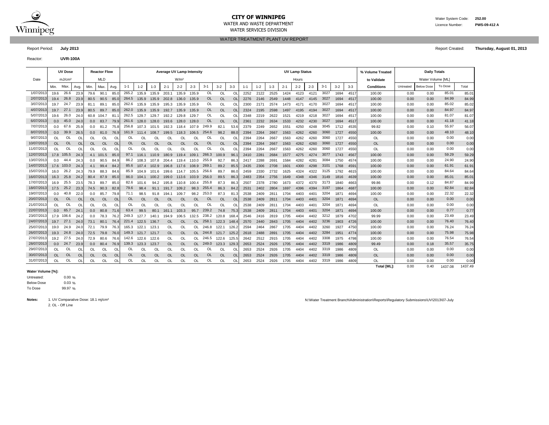

# **CITY OF WINNIPEG** WATER MATER WATER System Code: 252.00

WATER SERVICES DIVISION

WATER TREATMENT PLANT UV REPORT

Report Period: **July 2013** Report Created: **Thursday, August 01, 2013**

Reactor: **UVR-100A**

|            |           | <b>UV Dose</b>     |                |                  | <b>Reactor Flow</b> |           |           |               |               | <b>Average UV Lamp Intensity</b> |                  |               |           |           |           |         |         |         |         | <b>UV Lamp Status</b> |         |         |         |         | % Volume Treated   |           |                   | <b>Daily Totals</b> |         |
|------------|-----------|--------------------|----------------|------------------|---------------------|-----------|-----------|---------------|---------------|----------------------------------|------------------|---------------|-----------|-----------|-----------|---------|---------|---------|---------|-----------------------|---------|---------|---------|---------|--------------------|-----------|-------------------|---------------------|---------|
| Date       |           | mJ/cm <sup>2</sup> |                |                  | <b>MLD</b>          |           |           |               |               |                                  | W/m <sup>2</sup> |               |           |           |           |         |         |         |         | Hours                 |         |         |         |         | to Validate        |           | Water Volume [ML] |                     |         |
|            | Min.      | Max.               | Avg            | Min.             | Max.                | Avg.      | $1 - 1$   | $1 - 2$       | $1 - 3$       | $2 - 1$                          | $2 - 2$          | $2 - 3$       | $3 - 1$   | $3 - 2$   | $3 - 3$   | $1 - 1$ | $1 - 2$ | $1 - 3$ | $2 - 1$ | $2 - 2$               | $2 - 3$ | $3 - 1$ | $3 - 2$ | $3 - 3$ | <b>Conditions</b>  | Untreated | <b>Below Dose</b> | To Dose             | Total   |
| 1/07/201   | 19.6      | 26.6               | 23.9           | 79.6             | 90.1                | 85.0      | 265.2     | 135.9         | 135.9         | 203.1                            | 135.9            | 135.9         | OL        | <b>OL</b> | OL        | 2252    | 2122    | 2525    | 1424    | 4123                  | 4121    | 3027    | 1694    | 4517    | 100.00             | 0.00      | 0.00              | 85.01               | 85.01   |
| 2/07/2013  | 19.4      | 26.8               | 23.9           | 80.5             | 90.5                | 85.0      | 264.5     | 135.9         | 135.9         | 202.8                            | 136.0            | 135.9         | <b>OL</b> | OL        | <b>OL</b> | 2276    | 2146    | 2549    | 1448    | 4147                  | 4145    | 3027    | 1694    | 4517    | 100.00             | 0.00      | 0.00              | 84.99               | 84.99   |
| 3/07/2013  | 19.7      | 24.7               | 23.9           | 81.1             | 89.1                | 85.0      | 262.6     | 135.9         | 135.9         | 195.3                            | 135.9            | 135.9         | OL        | OL        | OL        | 2300    | 2171    | 2574    | 1473    | 4171                  | 4170    | 3027    | 1694    | 4517    | 100.00             | 0.00      | 0.00              | 85.02               | 85.02   |
| 4/07/2013  | 19.7      | 27.1               | 23.9           | 80.5             | 89.7                | 85.0      | 262.0     | 135.9         | 135.9         | 192.7                            | 135.9            | 135.9         | <b>OL</b> | <b>OL</b> | <b>OL</b> | 2324    | 2195    | 2598    | 1497    | 4195                  | 4194    | 3027    | 1694    | 4517    | 100.00             | 0.00      | 0.00              | 84.97               | 84.97   |
| 5/07/2013  | 19.6      | 26.0               | 24.0           | 60.8             | 104.7               | 81        | 262.5     | 129.7         | 129.7         | 192.2                            | 129.8            | 129.7         | OL        | <b>OL</b> | OL        | 2348    | 2219    | 2622    | 1521    | 4219                  | 4218    | 3027    | 1694    | 4517    | 100.00             | 0.00      | 0.00              | 81.07               | 81.07   |
| 6/07/2013  | 0.0       | 45.0               | 24.0           | 0.0              | 83.7                | 79.9      | 261.6     | 128.0         | 128.0         | 193.6                            | 128.0            | 128.0         | <b>OL</b> | <b>OL</b> | <b>OL</b> | 2361    | 2232    | 2634    | 1533    | 4232                  | 4230    | 3027    | 1694    | 4517    | 100.00             | 0.00      | 0.00              | 41.18               | 41.18   |
| 7/07/2013  | 0.0       | 67.6               | 25.9           | 0.0              | 81.2                | 75.8      | 256.8     | 107.3         | 101.5         | 192.3                            | 118.4            | 107.9         | 249.9     | 82.1      | 53.6      | 2379    | 2249    | 2652    | 1551    | 4250                  | 4248    | 3045    | 1712    | 4535    | 99.82              | 0.00      | 0.10              | 55.97               | 56.07   |
| 8/07/2013  | 0.0       | 39.9               | 26.5           | 0.0 <sub>1</sub> | 81.0                | 76.9      | 161.9     | 111.4         | 108.7         | 199.5                            | 118.3            | 106.5         | 254.6     | 98.2      | 88.0      | 2394    | 2264    | 2667    | 1563    | 4262                  | 4260    | 3060    | 1727    | 4550    | 100.00             | 0.00      | 0.00              | 48.10               | 48.10   |
| 9/07/2013  | OL.       | OL                 | O              | OL               | OL                  | O         | OL        | OL            | OL            | <b>OL</b>                        | OL               | OL            | OL        | OL        | OL        | 2394    | 2264    | 2667    | 1563    | 4262                  | 4260    | 3060    | 1727    | 4550    | OL                 | 0.00      | 0.00              | 0.00                | 0.00    |
| 10/07/2013 | <b>OL</b> | <b>OL</b>          | <b>OI</b>      | OL               | <b>OL</b>           | <b>OL</b> | OL        | <b>OL</b>     | <b>OL</b>     | <b>OL</b>                        | <b>OL</b>        | <b>OL</b>     | OL        | <b>OL</b> | <b>OL</b> | 2394    | 2264    | 2667    | 1563    | 4262                  | 4260    | 3060    | 1727    | 4550    | OL                 | 0.00      | 0.00              | 0.00                | 0.00    |
| 11/07/2013 | $\Omega$  | OL                 | <b>OI</b>      | OL.              | $\Omega$            | O         | OL        | <sup>OL</sup> | <sup>OL</sup> | OL                               | <sup>OL</sup>    | <sup>OL</sup> | OL        | $\Omega$  | OL        | 2394    | 2264    | 2667    | 1563    | 4262                  | 4260    | 3060    | 1727    | 4550    | <b>OL</b>          | 0.00      | 0.00              | 0.00                | 0.00    |
| 12/07/2013 |           | 17.8 105.5         | 24.3           |                  | 4.1 101.5           | 85.0      | 97.1      | 116.1         | 110.9         | 180.9                            | 119.4            | 109.1         | 266.3     | 100.9     | 96.       | 2410    | 2281    | 2684    | 1577    | 4275                  | 4274    | 3077    | 1743    | 4567    | 100.00             | 0.00      | 0.00              | 59.29               | 59.29   |
| 13/07/2013 | 0.0       | 44.4               | 24.3           | 0.0              | 90.5                | 84.9      | 86.2      | 108.3         | 107.8         | 204.4                            | 119.4            | 110.0         | 255.9     | 92.7      | 86.3      | 2417    | 2288    | 269'    | 1584    | 4282                  | 4281    | 3084    | 1750    | 4574    | 100.00             | 0.00      | 0.00              | 24.90               | 24.90   |
| 14/07/2013 |           | 17.6 103.0         | 24.3           | 4.1              | 99.4                | 84.2      | 85.6      | 107.4         | 102.9         | 196.8                            | 117.6            | 108.9         | 269.1     | 89.2      | 85.5      | 2435    | 2306    | 2708    | 1601    | 4300                  | 4298    | 3101    | 1768    | 4591    | 100.00             | 0.00      | 0.00              | 61.91               | 61.91   |
| 15/07/2013 | 16.0      | 26.2               | 24.3           | 79.9             | 88.3                | 84.6      | 85.9      | 104.9         | 101.6         | 199.6                            | 114.7            | 105.5         | 256.6     | 89.7      | 86.       | 2459    | 2330    | 2732    | 1625    | 4324                  | 4322    | 3125    | 1792    | 4615    | 100.00             | 0.00      | 0.00              | 84.64               | 84.64   |
| 16/07/2013 |           | 16.3 25.8          | 24.2           | 80.4             | 87.9                | 85.0      | 86.0      | 104.1         | 100.2         | 199.0                            | 113.6            | 103.9         | 256.0     | 89.5      | 86.       | 2483    | 2354    | 2756    | 1649    | 4348                  | 4346    | 3149    | 1816    | 4639    | 100.00             | 0.00      | 0.00              | 85.01               | 85.01   |
| 17/07/201  | 16.9      | 25.5               | 23.5           | 78.3             | 89.7                | 85.       | 82.6      | 101.6         | 94.2          | 195.8                            | 110.8            | 100.4         | 255.8     | 87.3      | 86.       | 2507    | 2378    | 2780    | 1673    | 4372                  | 4370    | 3173    | 1840    | 4663    | 99.86              | 0.00      | 0.12              | 84.87               | 84.99   |
| 18/07/2013 | 17.5      | 25.2               | 23.3           | 74.5             | 90.3                | 82.8      | 79.6      | 98.4          | 91.1          | 191.7                            | 109.2            | 98.3          | 255.4     | 86.3      | 84.7      | 2531    | 2402    | 2804    | 1697    | 4396                  | 4394    | 3197    | 1864    | 4687    | 100.00             | 0.00      | 0.00              | 82.84               | 82.84   |
| 19/07/2013 | 0.0       | 40.8               | 22.0           | 0.0              | 85.7                | 79.6      | 71.1      | 98.5          | 91.8          | 194.1                            | 109.7            | 98.2          | 253.0     | 87.3      | 81.3      | 2538    | 2409    | 2811    | 1704    | 4403                  | 4401    | 3204    | 1871    | 4694    | 100.00             | 0.00      | 0.00              | 22.32               | 22.32   |
| 20/07/2013 | <b>OL</b> | OL                 | O <sub>l</sub> | OL               | <b>OL</b>           | <b>OL</b> | <b>OL</b> | <b>OL</b>     | <b>OL</b>     | <b>OL</b>                        | <b>OL</b>        | <b>OL</b>     | OL        | <b>OL</b> | <b>OL</b> | 2538    | 2409    | 2811    | 1704    | 4403                  | 4401    | 3204    | 1871    | 4694    | <b>OL</b>          | 0.00      | 0.00              | 0.00                | 0.00    |
| 21/07/2013 | $\Omega$  | OL                 | O              | OL               | OL                  | O         | OL        | OL            | OL            | OL                               | OL               | <b>OL</b>     | OL        | OL        | Ol        | 2538    | 2409    | 281'    | 1704    | 4403                  | 4401    | 3204    | 187     | 4694    | OL                 | 0.00      | 0.00              | 0.00                | 0.00    |
| 22/07/2013 | 0.0       | 65.7               | 24.7           | 0.0              | 80.8                | 71.6      | 63.4      | 99.5          | 80.1          | 161.1                            | 103.3            | 95.7          | 239.2     | 74.8      | 75.3      | 2538    | 2409    | 2811    | 1704    | 4403                  | 4401    | 3204    | 1871    | 4694    | 100.00             | 0.00      | 0.00              | 0.77                | 0.77    |
| 23/07/2013 |           | 17.9 106.6         | 24.2           | 0.0              | 78.3                | 76.2      | 249.3     | 127.7         | 140.1         | 194.9                            | 106.5            | 132.5         | 238.2     | 120.8     | 168.4     | 2546    | 2416    | 2819    | 1705    | 4404                  | 4402    | 3212    | 1879    | 4702    | 99.99              | 0.00      | 0.00              | 23.49               | 23.49   |
| 24/07/2013 | 19.7      | 27.1               | 24.0           | 73.1             | 80.1                | 76.4      | 221.4     | 122.5         | 136.7         | <b>OL</b>                        | <b>OL</b>        | OL.           | 258.1     | 122.3     | 148.4     | 2570    | 2440    | 2843    | 1705    | 4404                  | 4402    | 3236    | 1903    | 4726    | 100.00             | 0.00      | 0.00              | 76.40               | 76.40   |
| 25/07/2013 | 19.0      | 24.9               | 24.0           | 72.1             | 79.9                | 76.       | 165.3     | 122.1         | 123.1         | OL                               | OL               | <b>OL</b>     | 246.8     | 122.1     | 126.2     | 2594    | 2464    | 2867    | 1705    | 4404                  | 4402    | 3260    | 1927    | 4750    | 100.00             | 0.00      | 0.00              | 76.24               | 76.24   |
| 26/07/2013 | 19.3      | 24.8               | 24.0           | 72.5             | 79.8                | 76.0      | 149.3     | 121.7         | 121.7         | OL                               | <b>OL</b>        | OL.           | 244.8     | 121.7     | 125.2     | 2618    | 2488    | 2891    | 1705    | 4404                  | 4402    | 3284    | 1951    | 4774    | 100.00             | 0.00      | 0.00              | 75.98               | 75.98   |
| 27/07/2013 | 19.2      | 27.5               | 24.0           | 72.9             | 80.6                | 76.6      | 142.6     | 122.6         | 122.6         | OL                               | OL               | <b>OL</b>     | 246.5     | 122.6     | 125.5     | 2642    | 2512    | 2915    | 1705    | 4404                  | 4402    | 3308    | 1975    | 4798    | 100.00             | 0.00      | 0.00              | 76.54               | 76.54   |
| 28/07/2013 | 0.0       | 24.7               | 23.9           | 0.0 <sub>1</sub> | 80.4                | 76.9      | 139.3     | 123.3         | 123.7         | OL                               | <b>OL</b>        | <b>OL</b>     | 249.0     | 123.3     | 129.3     | 2653    | 2524    | 2926    | 1705    | 4404                  | 4402    | 3319    | 1986    | 4809    | 99.49              | 0.00      | 0.18              | 35.57               | 35.75   |
| 29/07/2013 | OL        | OL                 | <b>OI</b>      | OL               | OL                  | O         | OL        | OL            | OL            | OL                               | OL               | OL            | OL        | 0L        | O         | 2653    | 2524    | 2926    | 1705    | 4404                  | 4402    | 3319    | 1986    | 4809    | <b>OL</b>          | 0.00      | 0.00              | 0.00                | 0.00    |
| 30/07/2013 | <b>OL</b> | <b>OL</b>          | <b>OI</b>      | <b>OL</b>        | OL                  | <b>OL</b> | OL        | <b>OL</b>     | <b>OL</b>     | <b>OL</b>                        | <b>OL</b>        | <b>OL</b>     | <b>OL</b> | <b>OL</b> | <b>OL</b> | 2653    | 2524    | 2926    | 1705    | 4404                  | 4402    | 3319    | 1986    | 4809    | <b>OL</b>          | 0.00      | 0.00              | 0.00                | 0.00    |
| 31/07/2013 | <b>OL</b> | OL                 | O              | OL               | OL                  | $\Omega$  | OL        | OL            | OL            | <b>OL</b>                        | OL               | OL            | OL        | OL        | OL        | 2653    | 2524    | 2926    | 1705    | 4404                  | 4402    | 3319    | 1986    | 4809    | OL                 | 0.00      | 0.00              | 0.00                | 0.00    |
|            |           |                    |                |                  |                     |           |           |               |               |                                  |                  |               |           |           |           |         |         |         |         |                       |         |         |         |         | <b>Total IMLI:</b> | 0.00      | 0.40              | 1437.08             | 1437.49 |

### **Water Volume [%]:**

 $0.00 \%$ 0.03 % 99.97 % To Dose Below Dose Untreated:

2. OL - Off Line

Notes: 1. UV Comparative Dose: 18.1 mj/cm<sup>2</sup> notes: 18.1 mj/cm<sup>2</sup> notes: 18.1 mj/cm<sup>2</sup> notes: 18.1 mj/cm<sup>2</sup> notes: 19.1 mj/cm<sup>2</sup> notes: 19.1 mj/cm<sup>2</sup> notes: 19.1 mj/cm<sup>2</sup> notes: 19.1 mj/cm<sup>2</sup> notes: 19.1 mj/cm<sup>2</sup> notes: 19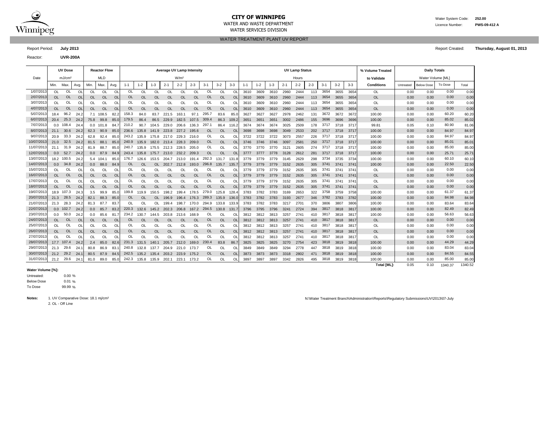

# **CITY OF WINNIPEG** Water System Code: 252.00

WATER TREATMENT PLANT UV REPORT

Reactor: **UVR-200A**

Report Period: **July 2013** Report Created: **Thursday, August 01, 2013**

|           |           | <b>UV Dose</b>     |           |           | <b>Reactor Flow</b> |           |         |           |           |                | <b>Average UV Lamp Intensity</b> |           |           |           |         |      |         |      |         | <b>UV Lamp Status</b> |         |         |         |       | % Volume Treated  |           | <b>Daily Totals</b> |         |       |
|-----------|-----------|--------------------|-----------|-----------|---------------------|-----------|---------|-----------|-----------|----------------|----------------------------------|-----------|-----------|-----------|---------|------|---------|------|---------|-----------------------|---------|---------|---------|-------|-------------------|-----------|---------------------|---------|-------|
| Date      |           | mJ/cm <sup>2</sup> |           |           | <b>MLD</b>          |           |         |           |           |                | W/m <sup>2</sup>                 |           |           |           |         |      |         |      |         | Hours                 |         |         |         |       | to Validate       |           | Water Volume [ML]   |         |       |
|           | Min.      | Max.               | Ava.      | Min.      | Max.                | Ava.      | $1 - 1$ | $1 - 2$   | $1 - 3$   | $2 -$          | $2 - 2$                          | $2 - 3$   | $3 - 1$   | $3 - 2$   | $3 - 3$ |      | $1 - 2$ | -3   | $2 - 1$ | $2 - 2$               | $2 - 3$ | $3 - 1$ | $3 - 2$ | $3-3$ | <b>Conditions</b> | Untreated | <b>Below Dose</b>   | To Dose | Total |
| 1/07/2013 | OL        | OL                 |           | OL        | <b>OL</b>           | $\Omega$  | OL      |           |           | OL.            |                                  | OL        | OL.       | OL        | $\sim$  | 3610 | 3609    | 3610 | 2960    | 2444                  | 113     | 3654    | 3655    | 3654  | 0L                | 0.00      | 0.00                | 0.00    | 0.00  |
| 2/07/2013 | <b>OL</b> | OL                 | <b>OL</b> | <b>OL</b> | OL                  | <b>OL</b> | OL      | <b>OL</b> | <b>OL</b> | OL.            | <b>OL</b>                        | <b>OL</b> | <b>OL</b> | OL        |         | 3610 | 3609    | 3610 | 2960    | 2444                  | 113     | 3654    | 3655    | 3654  | <b>OL</b>         | 0.00      | 0.00                | 0.00    | 0.00  |
| 3/07/2013 |           |                    |           | OL        | <b>OL</b>           |           |         |           |           | <sup>O</sup> L |                                  | Ōl        |           |           |         | 3610 | 3609    | 3610 | 2960    | 2444                  |         | 3654    | 3655    | 3654  | OL                | 0.00      | 0.00                | 0.00    | 0.00  |
| 4/07/2013 | <b>OL</b> | <b>OL</b>          | <b>OL</b> | <b>OL</b> | OL.                 | <b>OL</b> | OL      | <b>OL</b> | <b>OL</b> | <b>OL</b>      |                                  | <b>OL</b> | <b>OL</b> | <b>OL</b> |         | 3610 | 3609    | 3610 | 2960    | 2444                  | 113     | 3654    | 3655    | 3654  | <b>OL</b>         | 0.00      | 0.00                | 0.00    | 0.00  |
| 5/07/2013 | 18.4      | 96.2               | 24.2      |           | 108.5               | 82.2      | 158.3   | 84.0      | 83.7      | 221.5          | 63.                              | 97.7      | 295.7     | 83.6      | 85.     | 3627 | 3627    | 3627 | 2978    | 2462                  | 13'     | 3672    | 3672    | 3672  | 100.00            | 0.00      | 0.00                | 60.20   | 60.20 |
| 6/07/2013 | 20.4      | 25.3               | 24.2      | 75.8      | 99.8                | 85.0      | 179.5   | 86.4      | 86.5      | 229.9          | 182.5                            | 107.5     | 309.4     | 86.3      | 109.2   | 3651 | 3651    | 3651 | 3002    | 2486                  | 155     | 3696    | 3696    | 3696  | 100.00            | 0.00      | 0.00                | 85.02   | 85.02 |
| 7/07/2013 |           | $0.0$ 108.4        | 24.4      | 0.0       | 101.8               | 84.       | 210.2   | 90.7      | 104.5     | 229.0          | 206.6                            | 136.3     | 297.1     | 86.4      | 116.2   | 3674 | 3674    | 3674 | 3025    | 2509                  | 178     | 3717    | 3718    | 3717  | 99.81             | 0.05      | 0.10                | 80.90   | 81.06 |
| 8/07/2013 | 21.1      | 30.6               | 24.2      | 62.3      | 90.9                | 85.0      | 236.6   | 135.8     | 141.9     | 223.8          | 227.2                            | 195.6     | <b>OL</b> | OL        |         | 3698 | 3698    | 3698 | 3049    | 2533                  | 202     | 3717    | 3718    | 3717  | 100.00            | 0.00      | 0.00                | 84.97   | 84.97 |
| 9/07/2013 | 20.9      | 33.3               | 24.2      | 62.8      | 92.4                | 85.       | 243.2   | 135.9     | 175.8     | 217.0          | 229.3                            | 216.0     |           | OL        |         |      | 3722    |      | 3073    | 2557                  | 226     | 3717    | 3718    | 3717  | 100.00            | 0.00      | 0.00                | 84.97   | 84.97 |
| 0/07/2013 | 21.0      | 32.5               | 24.2      | 81.5      | 88.1                | 85.0      | 240.9   | 135.9     | 182.0     | 213.4          | 228.3                            | 209.0     | <b>OL</b> | <b>OL</b> |         | 3746 | 3746    | 3746 | 3097    | 2581                  | 250     | 3717    | 3718    | 3717  | 100.00            | 0.00      | 0.00                | 85.01   | 85.01 |
| 1/07/2013 | 21.1      | 31.9               | 24.2      | 81.9      | 88.7                | 85.       | 240.7   | 135.9     | 175.5     | 212.3          | 228.5                            | 205.0     | OL        | OL        |         | 3770 | 3770    | 3770 | 3121    | 2605                  | 274     | 3717    | 3718    | 3717  | 100.00            | 0.00      | 0.00                | 85.00   | 85.00 |
| 2/07/2013 | 0.0       | 52.7               | 24.2      | 0.0       | 87.9                | 84.9      | 243.4   | 135.8     | 175.7     | 213.0          | 232.2                            | 209.3     | <b>OL</b> | <b>OL</b> |         | 3777 | 3777    | 3778 | 3128    | 2612                  | 281     | 3717    | 3718    | 3717  | 100.00            | 0.00      | 0.00                | 25.71   | 25.71 |
|           |           |                    |           |           |                     |           |         |           |           |                |                                  |           |           |           |         |      |         |      |         |                       |         |         |         |       |                   |           |                     |         |       |

| 119112913  |               | <b>100.4</b> | 24.4      | v.v  | 101.8     | 64.7      | 21 U.Z            |             | 90.7 104.5  | <b>ZZY.U</b>                  | <b>200.0</b> | 136.3         | 291.1     | 86.4      | 116.2         | 5674 | -3674 | - 3674 | 30Z5 | 2509 | 178 | -31.11 | 3718 | - 3717        | 99.81     | U.U5 | <b>0.10</b> | on.an | 81.Ub |
|------------|---------------|--------------|-----------|------|-----------|-----------|-------------------|-------------|-------------|-------------------------------|--------------|---------------|-----------|-----------|---------------|------|-------|--------|------|------|-----|--------|------|---------------|-----------|------|-------------|-------|-------|
| 8/07/2013  | 21.1          | 30.6         | 24.2      | 62.3 | 90.9      | 85.0      | 236.6             | 135.8 141.9 |             | 223.8                         | 227.2        | 195.6         | OL        | <b>OL</b> | <sup>OL</sup> | 3698 | 3698  | 3698   | 3049 | 2533 | 202 | 3717   | 3718 | 3717          | 100.00    | 0.00 | 0.00        | 84.97 | 84.97 |
| 9/07/2013  | 20.9          | 33.3         | 24.2      | 62.8 | 92.4      | 85.0      | 243.2             |             |             | 135.9 175.8 217.0 229.3       |              | 216.0         | OL        | OL        |               | 3722 | 3722  | 3722   | 3073 | 2557 | 226 | 3717   | 3718 | 3717          | 100.00    | 0.00 | 0.00        | 84.97 | 84.97 |
| 10/07/2013 |               | 21.0 32.5    | 24.2      | 81.5 | 88.1      | 85.0      |                   |             |             | 240.9 135.9 182.0 213.4 228.3 |              | 209.0         | OL        | <b>OL</b> | <b>OL</b>     | 3746 | 3746  | 3746   | 3097 | 2581 | 250 | 3717   | 3718 | 3717          | 100.00    | 0.00 | 0.00        | 85.01 | 85.01 |
| 11/07/2013 | 21.1          | 31.9         | 24.2      | 81.9 | 88.7      | 85.0      | 240.7             |             | 135.9 175.5 | 212.3                         | 228.5        | 205.0         | OL        | OL        |               | 3770 | 3770  | 3770   | 3121 | 2605 | 274 | 3717   | 3718 | 3717          | 100.00    | 0.00 | 0.00        | 85.00 | 85.00 |
| 12/07/2013 |               | $0.0$ 52.7   | 24.2      | 0.0  | 87.9      | 84.9      |                   |             |             | 243.4 135.8 175.7 213.0 232.2 |              | 209.3         | OL.       | <b>OL</b> | <b>OL</b>     | 3777 | 3777  | 3778   | 3128 | 2612 | 281 | 3717   | 3718 | 3717          | 100.00    | 0.00 | 0.00        | 25.71 | 25.71 |
| 13/07/2013 |               | 18.2 100.5   | 24.2      |      | 5.4 104.1 | 85.0      | 176.7             | 126.6       | 153.5       | 204.7                         | 213.0        | 191.4         | 292.3     | 131.7     | 131.8         | 3779 | 3779  | 3779   | 3145 | 2629 | 298 | 3734   | 3735 | 3734          | 100.00    | 0.00 | 0.00        | 60.10 | 60.10 |
| 14/07/2013 |               | $0.0$ 34.8   | 24.2      | 0.0  | 88.0      | 84.9      | OL.               | <b>OL</b>   | <b>OL</b>   | 202.7                         | 212.8        | 193.0         | 296.8     | 135.7     | 135.7         | 3779 | 3779  | 3779   | 3152 | 2635 | 305 | 3741   | 3741 | 3741          | 100.00    | 0.00 | 0.00        | 22.50 | 22.50 |
| 15/07/2013 | OL            | OL           | OL        | OL   | OL        | 0L        | OL                | OL          | OL          | OL                            | OL           | <sup>OL</sup> |           | OL        | O             | 3779 | 3779  | 3779   | 3152 | 2635 | 305 | 3741   | 3741 | $374^{\circ}$ | OL        | 0.00 | 0.00        | 0.00  | 0.00  |
| 16/07/2013 | OL.           | <b>OL</b>    | <b>OL</b> | OL   | <b>OL</b> | <b>OL</b> | OL.               | <b>OL</b>   | <b>OL</b>   | <b>OL</b>                     | <b>OL</b>    | <b>OL</b>     | OL        | <b>OL</b> | <b>OL</b>     | 3779 | 3779  | 3779   | 3152 | 2635 | 305 | 3741   | 3741 | 3741          | OL.       | 0.00 | 0.00        | 0.00  | 0.00  |
| 17/07/2013 | <sub>OL</sub> | OL           | <b>OL</b> | OL   | OL        | OL        | OL.               | OL          | OL          | OL                            | OL           | OL            | OL        | OL        | 0L            | 3779 | 3779  | 3779   | 3152 | 2635 | 305 | 3741   | 3741 | 3741          | OL        | 0.00 | 0.00        | 0.00  | 0.00  |
| 18/07/2013 | OL            | OL           | <b>OL</b> | OL   | <b>OL</b> | OL        | OL.               | <b>OL</b>   | <b>OL</b>   | <b>OL</b>                     | OL           | <b>OL</b>     | OL        | <b>OL</b> | $\Omega$      | 3779 | 3779  | 3779   | 3152 | 2635 | 305 | 3741   | 3741 | 3741          | OL        | 0.00 | 0.00        | 0.00  | 0.00  |
| 19/07/2013 |               | 18.9 107.3   | 24.3      | 3.5  | 99.9      | 85.0      | 199.8             | 119.9       | 150.5       | 198.2                         | 199.4        | 178.5         | 279.0     | 125.8     | 128.4         | 3783 | 3782  | 3783   | 3169 | 2653 | 322 | 3758   | 3759 | 3758          | 100.00    | 0.00 | 0.00        | 61.37 | 61.37 |
| 20/07/2013 | 21.3          | 28.5         | 24.2      | 82.1 | 88.3      | 85.0      | OL.               | <b>OL</b>   | <b>OL</b>   | 196.9                         | 196.4        | 176.3         | 289.3     | 135.9     | 136.0         | 3783 | 3782  | 3783   | 3193 | 2677 | 346 | 3782   | 3783 | 3782          | 100.00    | 0.00 | 0.00        | 84.98 | 84.98 |
| 21/07/2013 | 21.3          | 28.3         | 24.2      | 81.3 | 87.7      | 83.7      | OL.               | OL          |             | 199.4                         | 198.7        | 170.0         | 294.9     | 133.8     | 133.9         | 3783 | 3782  | 3783   | 3217 | 2701 | 370 | 3806   | 3807 | 3806          | 100.00    | 0.00 | 0.00        | 83.64 | 83.64 |
| 22/07/2013 |               | $0.0$ 102.7  | 24.2      | 0.0  | 85.7      | 83.2      | 220.3             | 132.6       | 145.2       | 202.3                         | 206.8        | 167.2         | 294.5     | 130.8     | 131.7         | 3796 | 3795  | 3796   | 3241 | 2724 | 394 | 3817   | 3818 | 3817          | 100.00    | 0.00 | 0.00        | 82.49 | 82.49 |
| 23/07/2013 |               | 0.0 50.0     | 24.2      | 0.0  | 85.6      | 81.7      | 234.2             | 130.7       | 144.5       | 203.8                         | 213.6        | 168.9         | 0L        | OL        | ΩI            | 3812 | 3812  | 3813   | 3257 | 2741 | 410 | 3817   | 3818 | 381           | 100.00    | 0.00 | 0.00        | 56.63 | 56.63 |
| 24/07/2013 | OL.           | <b>OL</b>    | <b>OL</b> | OL   | <b>OL</b> | <b>OL</b> | <b>OL</b>         | <b>OL</b>   | <b>OL</b>   | <b>OL</b>                     | OL           | <b>OL</b>     | <b>OL</b> | <b>OL</b> |               | 3812 | 3812  | 3813   | 3257 | 2741 | 410 | 3817   | 3818 | -3817         | <b>OL</b> | 0.00 | 0.00        | 0.00  | 0.00  |
| 25/07/2013 | OL.           | OL.          | OL        |      | OL        |           | OL.               | OL          | OL          | OL                            | OL           | OL            | OL        | OL        |               | 3812 | 3812  | 3813   | 3257 | 2741 | 410 | 3817   | 3818 | 381           | OL        | 0.00 | 0.00        | 0.00  | 0.00  |
| 26/07/2013 | OL            | <b>OL</b>    | OL        | OL   | <b>OL</b> | <b>OL</b> | OL.               | OL          | <b>OL</b>   | <b>OL</b>                     | OL           | <b>OL</b>     | OL        | <b>OL</b> | $\Omega$      | 3812 | 3812  | 3813   | 3257 | 2741 | 410 | 3817   | 3818 | 3817          | <b>OL</b> | 0.00 | 0.00        | 0.00  | 0.00  |
| 27/07/2013 | OL.           | OL           | OL        | OL   | 0L        | OL        | OL                | OL          | OL          | OL                            | <b>OL</b>    | <b>OL</b>     | OL        | OL        |               | 3812 | 3812  | 3813   | 3257 | 2741 | 410 | 3817   | 3818 | 381           | OL        | 0.00 | 0.00        | 0.00  | 0.00  |
| 28/07/2013 |               | 17.7 107.4   | 24.2      | 2.4  | 85.0      | 82.6      | 231.3             | 131.5       | 140.1       | 205.7                         | 212.0        | 169.0         | 230.4     | 83.8      | 86.7          | 3825 | 3825  | 3825   | 3270 | 2754 | 423 | 3818   | 3819 | 3818          | 100.00    | 0.00 | 0.00        | 44.29 | 44.29 |
| 29/07/2013 | 21.3          | 29.6         | 24.1      | 80.8 | 86.9      | 83.1      | 240.8             | 132.8 137.7 |             | 204.9                         | 221.0        | 173.7         | OL        | OL        |               | 3849 | 3849  | 3849   | 3294 | 2778 | 447 | 3818   | 3819 | 3818          | 100.00    | 0.00 | 0.00        | 83.04 | 83.04 |
| 30/07/2013 | 21.2          | 29.2         | 24.1      | 80.5 | 87.9      | 84.5      | 242.5             | 135.2       | 135.4       | 203.2                         | 223.9        | 175.2         | <b>OL</b> | <b>OL</b> |               | 3873 | 3873  | 3873   | 3318 | 2802 | 471 | 3818   | 3819 | 3818          | 100.00    | 0.00 | 0.00        | 84.55 | 84.55 |
| 31/07/2013 |               | 21.2 29.6    | 24.1      | 81.0 | 89.0      | 85.0      | 242.3 135.8 135.9 |             |             | 202.1                         | 223.1        | 173.2         | OL        | OL        | OL            | 3897 | 3897  | 3897   | 3342 | 2826 | 495 | 3818   | 3819 | 3818          | 100.00    | 0.00 | 0.00        | 85.00 | 85.00 |

### **Water Volume [%]:**

0.00 %  $0.01%$ 99.99 % To Dose Below Dose Untreated:

2. OL - Off Line

Notes: 1. UV Comparative Dose: 18.1 mj/cm<sup>2</sup> and the state of the state of the state of the state of the state of the state of the state of the state of the state of the state of the state of the state of the state of the

**Total [ML]:** 0.05 0.10 1340.52 1340.37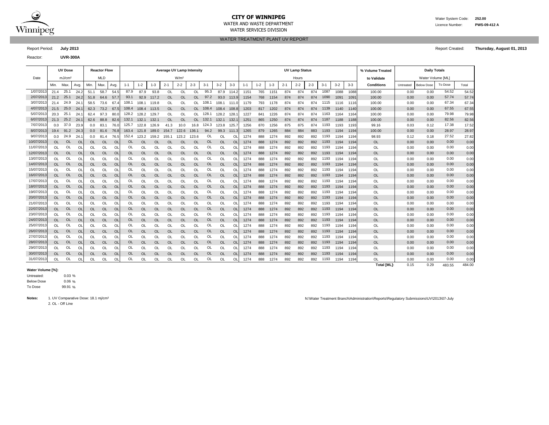

# **CITY OF WINNIPEG** Water System Code: 252.00

WATER SERVICES DIVISION

WATER AND WASTE DEPARTMENT Licence Number: **PWS-09-412 A**

WATER TREATMENT PLANT UV REPORT

Report Period: **July 2013** Report Created: **Thursday, August 01, 2013**

Reactor: **UVR-300A**

|            |           | <b>UV Dose</b>     |           |                  | <b>Reactor Flow</b> |           |           |           |           | Average UV Lamp Intensity |                  |           |           |           |           |         |         |         |         | <b>UV Lamp Status</b> |         |       |         |         | % Volume Treated   |           | <b>Daily Totals</b> |         |        |
|------------|-----------|--------------------|-----------|------------------|---------------------|-----------|-----------|-----------|-----------|---------------------------|------------------|-----------|-----------|-----------|-----------|---------|---------|---------|---------|-----------------------|---------|-------|---------|---------|--------------------|-----------|---------------------|---------|--------|
| Date       |           | mJ/cm <sup>2</sup> |           |                  | <b>MLD</b>          |           |           |           |           |                           | W/m <sup>2</sup> |           |           |           |           |         |         |         |         | Hours                 |         |       |         |         | to Validate        |           | Water Volume [ML]   |         |        |
|            | Min.      | Max                | Avg.      | Min.             | Max.                | Avg.      | $1 - 1$   | $1 - 2$   | $1 - 3$   | $2 - 1$                   | $2 - 2$          | $2 - 3$   | $3 - 1$   | $3 - 2$   | $3 - 3$   | $1 - 1$ | $1 - 2$ | $1 - 3$ | $2 - 1$ | $2 - 2$               | $2 - 3$ | $3-1$ | $3 - 2$ | $3 - 3$ | <b>Conditions</b>  | Untreated | <b>Below Dose</b>   | To Dose | Total  |
| 1/07/2013  | 21.4      | 25.1               | 24.2      | 51.1             | 58.7                | 54.5      | 87.9      | 87.9      | 93.8      | OL                        | <b>OL</b>        | <b>OL</b> | 95.3      | 87.9      | 114.2     | 1151    | 765     | 1151    | 874     | 874                   | 874     | 1087  | 1088    | 1088    | 100.00             | 0.00      | 0.00                | 54.52   | 54.52  |
| 2/07/2013  | 21.2      | 25.1               | 24.2      | 51.8             | 64.6                | 57.7      | 93.1      | 92.9      | 117.2     | OL                        | <b>OL</b>        | OL        | 97.2      | 93.0      | 113.9     | 1154    | 768     | 1154    | 874     | 874                   | 874     | 1090  | 1091    | 1091    | 100.00             | 0.00      | 0.00                | 57.74   | 57.74  |
| 3/07/2013  | 21.4      | 24.9               | 24.7      | 58.5             | 73.6                | 67.4      | 108.1     | 108.1     | 119.8     | OL                        | OL               | OL        | 108.1     | 108.1     | 111.0     | 1179    | 793     | 1178    | 874     | 874                   | 874     | 1115  | 1116    | 1116    | 100.00             | 0.00      | 0.00                | 67.34   | 67.34  |
| 4/07/2013  | 21.5      | 25.0               | 24.7      | 62.3             | 73.2                | 67.5      | 108.4     | 108.4     | 113.5     | <b>OL</b>                 | <b>OL</b>        | OL.       | 108.4     | 108.4     | 108.8     | 1203    | 817     | 1202    | 874     | 874                   | 874     | 1139  | 1140    | 1140    | 100.00             | 0.00      | 0.00                | 67.55   | 67.55  |
| 5/07/2013  | 20.3      | 25.1               | 24.1      | 62.4             | 97.3                | 80.       | 128.2     | 128.2     | 129.7     | OL                        | <b>OL</b>        | OL.       | 128.1     | 128.2     | 128.      | 1227    | 841     | 1226    | 874     | 874                   | 874     | 1163  | 1164    | 1164    | 100.00             | 0.00      | 0.00                | 79.98   | 79.98  |
| 6/07/2013  | 21.3      | 25.2               | 24.1      | 62.6             | 88.8                | 82.6      | 132.1     | 132.1     | 132.1     | <b>OL</b>                 | <b>OL</b>        | OL        | 132.1     | 132.1     | 132.      | 1251    | 865     | 1250    | 874     | 874                   | 874     | 1187  | 1188    | 1188    | 100.00             | 0.00      | 0.00                | 82.56   | 82.56  |
| 7/07/2013  | 0.0       | 37.0               | 23.9      | 0.0              | 83.1                | 76.0      | 125.7     | 122.8     | 126.9     | 41.3                      | 10.0             | 16.8      | 124.3     | 123.8     | 125.      | 1256    | 870     | 1256    | 875     | 875                   | 874     | 1193  | 1193    | 1193    | 99.16              | 0.03      | 0.12                | 17.38   | 17.52  |
| 8/07/2013  |           | 19.4 91.2          | 24.3      | 0.0 <sub>1</sub> | 81.6                | 76.8      | 163.4     | 121.8     | 189.0     | 154.7                     | 122.6            | 136.1     | 94.2      | 99.3      | 111.3     | 1265    | 879     | 1265    | 884     | 884                   | 883     | 1193  | 1194    | 1194    | 100.00             | 0.00      | 0.00                | 28.97   | 28.97  |
| 9/07/2013  | 0.0       | 24.9               | 24.1      | 0.0              | 81.4                | 76.5      | 152.4     | 123.2     | 159.2     | 155.1                     | 123.2            | 123.6     | OL        | OL        | Ol        | 1274    | 888     | 1274    | 892     | 892                   | 892     | 1193  | 1194    | 1194    | 98.93              | 0.12      | 0.18                | 27.52   | 27.82  |
| 10/07/2013 | OL        | <b>OL</b>          | <b>OL</b> | OL.              | <b>OL</b>           | <b>OL</b> | <b>OL</b> | <b>OL</b> | <b>OL</b> | <b>OL</b>                 | OL               | <b>OL</b> | <b>OL</b> | OL        | <b>OL</b> | 1274    | 888     | 1274    | 892     | 892                   | 892     | 1193  | 1194    | 1194    | OL                 | 0.00      | 0.00                | 0.00    | 0.00   |
| 11/07/2013 | <b>OL</b> | OL                 | OL        | 0L               | OL                  | $\Omega$  | OL        | OL        | OL        | OL                        | <b>OL</b>        | OL        | OL        | OL        | O         | 1274    | 888     | 1274    | 892     | 892                   | 892     | 1193  | 1194    | 1194    | OL                 | 0.00      | 0.00                | 0.00    | 0.00   |
| 12/07/2013 | OL        | <b>OL</b>          | <b>OL</b> | <b>OL</b>        | <b>OL</b>           | <b>OL</b> | OL        | <b>OL</b> | <b>OL</b> | <b>OL</b>                 | <b>OL</b>        | OL        | <b>OL</b> | <b>OL</b> | <b>OL</b> | 1274    | 888     | 1274    | 892     | 892                   | 892     | 1193  | 1194    | 1194    | <b>OL</b>          | 0.00      | 0.00                | 0.00    | 0.00   |
| 13/07/2013 | <b>OL</b> | OL                 | OL        | <b>OL</b>        | OL                  | OL        | OL        | OL        | <b>OL</b> | OL                        | <b>OL</b>        | OL        | OL        | OL        | OL        | 1274    | 888     | 1274    | 892     | 892                   | 892     | 1193  | 1194    | 1194    | <b>OL</b>          | 0.00      | 0.00                | 0.00    | 0.00   |
| 14/07/2013 | OL        | <b>OL</b>          | <b>OL</b> | <b>OL</b>        | <b>OL</b>           | <b>OL</b> | <b>OL</b> | <b>OL</b> | <b>OL</b> | <b>OL</b>                 | OL               | OL        | <b>OL</b> | OL        | <b>OL</b> | 1274    | 888     | 1274    | 892     | 892                   | 892     | 1193  | 1194    | 1194    | <b>OL</b>          | 0.00      | 0.00                | 0.00    | 0.00   |
| 15/07/2013 | <b>OL</b> | OL                 | OL        | <b>OL</b>        | OL                  | <b>OL</b> | OL        | OL        | OL        | OL                        | <b>OL</b>        | OL        | OL        | <b>OL</b> | OL        | 1274    | 888     | 1274    | 892     | 892                   | 892     | 1193  | 1194    | 1194    | <b>OL</b>          | 0.00      | 0.00                | 0.00    | 0.00   |
| 16/07/2013 | OL        | <b>OL</b>          | <b>OL</b> | <b>OL</b>        | <b>OL</b>           | <b>OL</b> | OL        | <b>OL</b> | <b>OL</b> | <b>OL</b>                 | <b>OL</b>        | OL        | OL        | <b>OL</b> | <b>OL</b> | 1274    | 888     | 1274    | 892     | 892                   | 892     | 1193  | 1194    | 1194    | <b>OL</b>          | 0.00      | 0.00                | 0.00    | 0.00   |
| 17/07/2013 | <b>OL</b> | <b>OL</b>          | OL        | <b>OL</b>        | OL                  | $\Omega$  | OL        | OL        | OL        | OL                        | <b>OL</b>        | OL        | OL        | OL        | <b>Ol</b> | 1274    | 888     | 1274    | 892     | 892                   | 892     | 1193  | 1194    | 1194    | <b>OL</b>          | 0.00      | 0.00                | 0.00    | 0.00   |
| 18/07/2013 | <b>OL</b> | <b>OL</b>          | <b>OL</b> | <b>OL</b>        | <b>OL</b>           | <b>OL</b> | OL        | <b>OL</b> | <b>OL</b> | <b>OL</b>                 | <b>OL</b>        | OL        | <b>OL</b> | <b>OL</b> | <b>OL</b> | 1274    | 888     | 1274    | 892     | 892                   | 892     | 1193  | 1194    | 1194    | <b>OL</b>          | 0.00      | 0.00                | 0.00    | 0.00   |
| 19/07/2013 | <b>OL</b> | OL                 | OL        | <b>OL</b>        | OL                  | $\Omega$  | OL        | OL        | OL        | OL                        | OL               | OL        | OL        | OL        | OL        | 1274    | 888     | 1274    | 892     | 892                   | 892     | 1193  | 1194    | 1194    | <b>OL</b>          | 0.00      | 0.00                | 0.00    | 0.00   |
| 20/07/2013 | <b>OL</b> | <b>OL</b>          | <b>OL</b> | <b>OL</b>        | <b>OL</b>           | <b>OL</b> | OL        | <b>OL</b> | OL        | <b>OL</b>                 | OL               | OL        | <b>OL</b> | <b>OL</b> | <b>OL</b> | 1274    | 888     | 1274    | 892     | 892                   | 892     | 1193  | 1194    | 1194    | OL                 | 0.00      | 0.00                | 0.00    | 0.00   |
| 21/07/2013 | <b>OL</b> | OL                 | OL        | OL               | OL                  | OL        | OL        | OL        | OL        | <b>OL</b>                 | OL               | OL        | OL        | OL        | O         | 1274    | 888     | 1274    | 892     | 892                   | 892     | 1193  | 1194    | 1194    | OL                 | 0.00      | 0.00                | 0.00    | 0.00   |
| 22/07/2013 | <b>OL</b> | OL                 | <b>OL</b> | <b>OL</b>        | OL                  | <b>OL</b> | OL        | <b>OL</b> | OL        | <b>OL</b>                 | OL               | OL        | <b>OL</b> | OL        | <b>OL</b> | 1274    | 888     | 1274    | 892     | 892                   | 892     | 1193  | 1194    | 1194    | OL                 | 0.00      | 0.00                | 0.00    | 0.00   |
| 23/07/2013 | <b>OL</b> | OL                 | OL        | <b>OL</b>        | OL                  | $\Omega$  | OL        | OL        | OL        | OL                        | OL               | OL        | OL        | OL        | OL        | 1274    | 888     | 1274    | 892     | 892                   | 892     | 1193  | 1194    | 1194    | <b>OL</b>          | 0.00      | 0.00                | 0.00    | 0.00   |
| 24/07/2013 | OL.       | OL                 | <b>OL</b> | <b>OL</b>        | <b>OL</b>           | <b>OL</b> | OL        | <b>OL</b> | <b>OL</b> | <b>OL</b>                 | <b>OL</b>        | OL        | <b>OL</b> | OL        | <b>OL</b> | 1274    | 888     | 1274    | 892     | 892                   | 892     | 1193  | 1194    | 1194    | <b>OL</b>          | 0.00      | 0.00                | 0.00    | 0.00   |
| 25/07/201  | <b>OL</b> | OL                 | OL        | OL               | OL                  | OL        | OL        | OL        | OL        | <b>OL</b>                 | <b>OL</b>        | OL        | OL        | OL        | O         | 1274    | 888     | 1274    | 892     | 892                   | 892     | 1193  | 1194    | 1194    | OL                 | 0.00      | 0.00                | 0.00    | 0.00   |
| 26/07/2013 | <b>OL</b> | OL                 | <b>OL</b> | <b>OL</b>        | OL                  | <b>OL</b> | <b>OL</b> | <b>OL</b> | OL        | <b>OL</b>                 | OL               | OL        | <b>OL</b> | OL        | <b>OL</b> | 1274    | 888     | 1274    | 892     | 892                   | 892     | 1193  | 1194    | 1194    | OL                 | 0.00      | 0.00                | 0.00    | 0.00   |
| 27/07/2013 | <b>OL</b> | OL                 | OL        | OL               | OL                  | $\Omega$  | OL        | OL        | OL        | OL                        | <b>OL</b>        | OL        | OL        | OL        | <b>Ol</b> | 1274    | 888     | 1274    | 892     | 892                   | 892     | 1193  | 1194    | 1194    | OL                 | 0.00      | 0.00                | 0.00    | 0.00   |
| 28/07/2013 | OL        | <b>OL</b>          | <b>OL</b> | <b>OL</b>        | <b>OL</b>           | <b>OL</b> | OL        | <b>OL</b> | <b>OL</b> | <b>OL</b>                 | <b>OL</b>        | OL        | <b>OL</b> | <b>OL</b> | OL        | 1274    | 888     | 1274    | 892     | 892                   | 892     | 1193  | 1194    | 1194    | <b>OL</b>          | 0.00      | 0.00                | 0.00    | 0.00   |
| 29/07/2013 | <b>OL</b> | OL                 | OL        | <b>OL</b>        | OL                  | <b>OL</b> | OL        | OL        | OL        | OL                        | OL               | OL        | OL        | OL        | <b>Ol</b> | 1274    | 888     | 1274    | 892     | 892                   | 892     | 1193  | 1194    | 1194    | OL                 | 0.00      | 0.00                | 0.00    | 0.00   |
| 30/07/2013 | <b>OL</b> | <b>OL</b>          | <b>OL</b> | OL               | <b>OL</b>           | <b>OL</b> | OL        | OL        | <b>OL</b> | <b>OL</b>                 | OL               | <b>OL</b> | <b>OL</b> | OL        | <b>OL</b> | 1274    | 888     | 1274    | 892     | 892                   | 892     | 1193  | 1194    | 1194    | OL                 | 0.00      | 0.00                | 0.00    | 0.00   |
| 31/07/2013 | <b>OL</b> | OL                 | O         | <b>OL</b>        | OL                  | $\Omega$  | OL        | OL        | OL        | <b>OL</b>                 | OL               | OL        | OL        | OL        | O         | 1274    | 888     | 1274    | 892     | 892                   | 892     | 1193  | 1194    | 1194    | OL                 | 0.00      | 0.00                | 0.00    | 0.00   |
|            |           |                    |           |                  |                     |           |           |           |           |                           |                  |           |           |           |           |         |         |         |         |                       |         |       |         |         | <b>Total [ML]:</b> | 0.15      | 0.29                | 483.55  | 484.00 |

### **Water Volume [%]:**

 $0.03 \%$ 0.06 % 99.91 % To Dose Below Dose Untreated:

2. OL - Off Line

Notes: 1. UV Comparative Dose: 18.1 mj/cm<sup>2</sup> and the state of the state of the state of the state of the state of the state of the state of the state of the state of the state of the state of the state of the state of the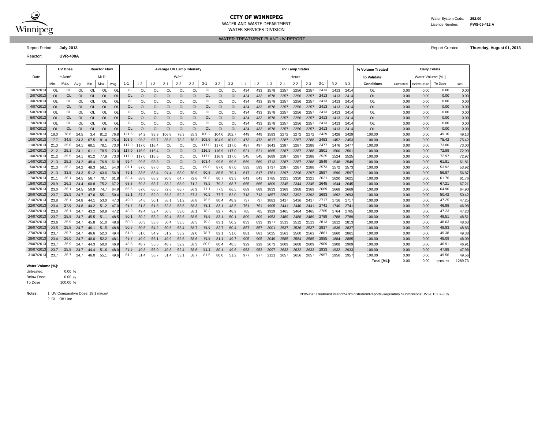

## **CITY OF WINNIPEG** WATER MANUSCRIPEG WATER System Code: 252.00

WATER SERVICES DIVISION

WATER AND WASTE DEPARTMENT Licence Number: **PWS-09-412 A**

WATER TREATMENT PLANT UV REPORT

Reactor: **UVR-400A**

Report Period: **July 2013** Report Created: **Thursday, August 01, 2013**

|            |           | <b>UV Dose</b>     |          |           | <b>Reactor Flow</b> |           |           |          |           | <b>Average UV Lamp Intensity</b> |                  |           |           |           |                |         |         |         |         | <b>UV Lamp Status</b> |         |         |         |         | % Volume Treated   |           | <b>Daily Totals</b> |         |         |
|------------|-----------|--------------------|----------|-----------|---------------------|-----------|-----------|----------|-----------|----------------------------------|------------------|-----------|-----------|-----------|----------------|---------|---------|---------|---------|-----------------------|---------|---------|---------|---------|--------------------|-----------|---------------------|---------|---------|
| Date       |           | mJ/cm <sup>2</sup> |          |           | <b>MLD</b>          |           |           |          |           |                                  | W/m <sup>2</sup> |           |           |           |                |         |         |         |         | Hours                 |         |         |         |         | to Validate        |           | Water Volume [ML]   |         |         |
|            | Min.      | Max.               | Avg.     | Min.      | Max.                | Avg.      | $1 - 1$   | $1 - 2$  | $1 - 3$   | $2 - 1$                          | $2 - 2$          | $2 - 3$   | $3 - 1$   | $3 - 2$   | $3 - 3$        | $1 - 1$ | $1 - 2$ | $1 - 3$ | $2 - 1$ | $2 - 2$               | $2 - 3$ | $3 - 1$ | $3 - 2$ | $3 - 3$ | <b>Conditions</b>  | Untreated | <b>Below Dose</b>   | To Dose | Total   |
| 1/07/201   | OL        | OL                 | OL       | <b>OL</b> | <b>OL</b>           | <b>Ol</b> | OL        | OL       | <b>OL</b> | <b>OL</b>                        | <b>OL</b>        | <b>OL</b> | OL        | <b>OL</b> | OL             | 434     | 433     | 1578    | 2257    | 2256                  | 2257    | 2413    | 1413    | 241     | OL                 | 0.00      | 0.00                | 0.00    | 0.00    |
| 2/07/201   | OL        | <b>OL</b>          | $\Omega$ | <b>OL</b> | $\Omega$            | <b>OL</b> | <b>OL</b> | $\Omega$ | OL        | <b>OL</b>                        | OL               | $\Omega$  | <b>OL</b> | <b>OL</b> | $\Omega$       | 434     | 433     | 1578    | 2257    | 2256                  | 2257    | 2413    | 1413    | 2414    | <b>OL</b>          | 0.00      | 0.00                | 0.00    | 0.00    |
| 3/07/201   | OL        | OL                 | O        | OL        | <b>OL</b>           | O         | OL        | OL       | OL        | OL                               | OL               | OL        | OL        | <b>OL</b> | Ol             | 434     | 433     | 1578    | 2257    | 2256                  | 2257    | 2413    | 1413    | 2414    | OL                 | 0.00      | 0.00                | 0.00    | 0.00    |
| 4/07/201   | <b>OL</b> | <b>OL</b>          | $\circ$  | <b>OL</b> | <b>OL</b>           | <b>OL</b> | <b>OL</b> | OL       | <b>OL</b> | <b>OL</b>                        | <b>OL</b>        | OL        | OL        | <b>OL</b> | O <sub>l</sub> | 434     | 433     | 1578    | 2257    | 2256                  | 2257    | 2413    | 1413    | 2414    | <b>OL</b>          | 0.00      | 0.00                | 0.00    | 0.00    |
| 5/07/201   | OL.       | <b>OL</b>          | $\Omega$ | OL.       | <b>OL</b>           | $\Omega$  | OL        | OL       | OL        | OL                               | OL               | ΩL        | OL        | <b>OL</b> | OL             | 434     | 433     | 1578    | 2257    | 2256                  | 2257    | 2413    | 1413    | 241     | OL                 | 0.00      | 0.00                | 0.00    | 0.00    |
| 6/07/2013  | <b>OL</b> | <b>OL</b>          | O        | <b>OL</b> | <b>OL</b>           | <b>OL</b> | <b>OL</b> | OL       | <b>OL</b> | <b>OL</b>                        | <b>OL</b>        | OL        | <b>OL</b> | <b>OL</b> | <b>OL</b>      | 434     | 433     | 1578    | 2257    | 2256                  | 2257    | 2413    | 1413    | 2414    | <b>OL</b>          | 0.00      | 0.00                | 0.00    | 0.00    |
| 7/07/2013  | OL        | OL                 | O        | OL        | OL                  | O         | OL        | OL       | OL        | OL                               | OL               | OL        | OL        | <b>OL</b> | OL             | 434     | 433     | 1578    | 2257    | 2256                  | 2257    | 2413    | 1413    | 2414    | OL                 | 0.00      | 0.00                | 0.00    | 0.00    |
| 8/07/2013  | OL        | <b>OL</b>          | OL       | OL        | OL                  | <b>OL</b> | OL        | OL       | <b>OL</b> | <b>OL</b>                        | <b>OL</b>        | OL        | OL        | OL        | <sup>OL</sup>  | 434     | 433     | 1578    | 2257    | 2256                  | 2257    | 2413    | 1413    | 2414    | OL                 | 0.00      | 0.00                | 0.00    | 0.00    |
| 9/07/201   | 19.0      | 78.6               | 24.5     | 3.4       | 81.2                | 76.8      | 121.6     | 94.2     | 93.9      | 106.8                            | 78.3             | 85.3      | 100.2     | 104.0     | 102.7          | 449     | 449     | 1593    | 2272    | 2272                  | 2272    | 2429    | 1428    | 2429    | 100.00             | 0.00      | 0.00                | 49.10   | 49.10   |
| 10/07/2013 | 17.7      | 34.5               | 24.3     | 67.5      | 81.4                | 75.4      | 108.6     | 98.3     | 95.7      | 85.8                             | 78.2             | 78.2      | 105.6     | 104.9     | 101.0          | 473     | 473     | 1617    | 2287    | 2287                  | 2288    | 2453    | 1452    | 2453    | 100.00             | 0.00      | 0.00                | 75.42   | 75.42   |
| 11/07/201  | 21.3      | 25.0               | 24.      | 68.1      | 78.1                | 73.0      | 117.0     | 117.0    | 116.4     | OL                               | <sup>OL</sup>    | OL        | 117.0     | 117.0     | 117.0          | 497     | 497     | 1641    | 2287    | 2287                  | 2288    | 2477    | 1476    | 2477    | 100.00             | 0.00      | 0.00                | 73.00   | 73.00   |
| 12/07/201  | 21.2      | 25.1               | 24       | 61.1      | 78.5                | 73.0      | 117.0     | 116.9    | 116.4     | <b>OL</b>                        | OL               | OL.       | 116.9     | 116.9     | 117.0          | 521     | 521     | 1665    | 2287    | 2287                  | 2288    | 2501    | 1500    | 2501    | 100.00             | 0.00      | 0.00                | 72.99   | 72.99   |
| 13/07/201  | 21.2      | 25.5               | 24       | 61.2      | 77.9                | 73.0      | 117.0     | 117.0    | 116.5     | OL                               | OL               | OL        | 117.0     | 116.9     | 117.0          | 545     | 545     | 1689    | 2287    | 2287                  | 2288    | 2525    | 1524    | 2525    | 100.00             | 0.00      | 0.00                | 72.97   | 72.97   |
| 14/07/201  | 21.3      | 25.2               | 24.2     | 48.4      | 76.8                | 61.8      | 99.4      | 99.5     | 98.8      | <b>OL</b>                        | <b>OL</b>        | OL.       | 103.4     | 99.5      | 99.6           | 569     | 569     | 1713    | 2287    | 2287                  | 2288    | 2549    | 1548    | 2549    | 100.00             | 0.00      | 0.00                | 61.81   | 61.8'   |
| 15/07/201  | 21.3      | 25.2               | 24.2     | 48.3      | 58.1                | 54.0      | 87.1      | 87.0     | 87.0      | OL                               | <sup>OL</sup>    | OL        | 89.0      | 87.0      | 87.0           | 593     | 593     | 1737    | 2287    | 2287                  | 2288    | 2573    | 1572    | 2573    | 100.00             | 0.00      | 0.00                | 53.92   | 53.92   |
| 16/07/2013 | 21.3      | 33.8               | 24.3     | 51.2      | 63.6                | 56.9      | 79.1      | 83.5     | 83.4      | 94.4                             | 63.0             | 70.9      | 90.8      | 86.5      | 79.            | 617     | 617     | 1761    | 2297    | 2296                  | 2297    | 2597    | 1596    | 2597    | 100.00             | 0.00      | 0.00                | 56.87   | 56.87   |
| 17/07/201  | 21.1      | 26.1               | 24.      | 56.7      | 70.7                | 61        | 63.4      | 68.8     | 68.2      | 90.8                             | 64.7             | 72.6      | 90.8      | 80.7      | 63.3           | 641     | 641     | 1785    | 232'    | 2320                  | 2321    | 2621    | 1620    | 2621    | 100.00             | 0.00      | 0.00                | 61.76   | 61.76   |
| 18/07/201  | 20.9      | 26.2               | 24.      | 60.8      | 75.2                | 67.       | 68.8      | 69.3     | 68.7      | 83.2                             | 68.9             | 71.2      | 78.9      | 79.2      | 68.            | 665     | 665     | 1809    | 2345    | 2344                  | 2345    | 2645    | 1644    | 2645    | 100.00             | 0.00      | 0.00                | 67.21   | 67.21   |
| 19/07/201  | 23.0      | 26.1               | 24       | 50.9      | 74.7                | 64.       | 66.6      | 67.0     | 66.5      | 72.6                             | 66.7             | 66.9      | 71.1      | 77.5      | 66.            | 689     | 689     | 1833    | 2369    | 2368                  | 2369    | 2669    | 1668    | 2669    | 100.00             | 0.00      | 0.00                | 64.90   | 64.90   |
| 20/07/201  | 23.7      | 25.9               | 24.      | 47.6      | 55.1                | 50.       | 52.1      | 57.3     | 52.0      | 63.3                             | 52.2             | 57.3      | 70.9      | 77.7      | 52.0           | 713     | 713     | 1857    | 2393    | 2392                  | 2393    | 2693    | 1692    | 2693    | 100.00             | 0.00      | 0.00                | 50.42   | 50.42   |
| 21/07/201  | 23.8      | 26.1               | 24.1     | 44.1      | 53.0                | 47.       | 49.0      | 54.6     | 50.       | 56.1                             | 51.2             | 56.8      | 75.5      | 80.4      | 48.9           | 737     | 737     | 188'    | 2417    | 2416                  | 2417    | 2717    | 1716    | 271     | 100.00             | 0.00      | 0.00                | 47.25   | 47.25   |
| 22/07/201  | 23.4      | 27.6               | 24.8     | 44.2      | 51.2                | - 47.0    | 48.7      | 51.8     | 51.8      | 52.8                             | 53.6             | 58.3      | 78.1      | 83.1      | 48.            | 761     | 761     | 1905    | 2441    | 2440                  | 2441    | 2741    | 1740    | 2741    | 100.00             | 0.00      | 0.00                | 46.98   | 46.98   |
| 23/07/201  | 23.0      | 26.1               | 24.      | 43.2      | 50.9                | 47.2      | 48.9      | 49.4     | 52.4      | 50.5                             | 53.0             | 58.1      | 78.3      | 82.7      | 48.9           | 785     | 785     | 1929    | 2465    | 2464                  | 2465    | 2765    | 1764    | 2765    | 100.00             | 0.00      | 0.00                | 47.23   | 47.23   |
| 24/07/201  | 23.7      | 25.8               | 24.7     | 45.5      | 51.1                | 48.5      | 50.1      | 50.2     | 53.2      | 50.4                             | 53.6             | 58.5      | 78.6      | 83.1      | 50.            | 809     | 809     | 1953    | 2489    | 2488                  | 2489    | 2789    | 1788    | 2789    | 100.00             | 0.00      | 0.00                | 48.51   | 48.51   |
| 25/07/201  | 23.6      | 25.9               | 24.7     | 45.8      | 51.0                | 48.6      | 50.3      | 50.3     | 53.6      | 50.4                             | 53.5             | 58.5      | 79.3      | 83.1      | 50.2           | 833     | 833     | 1977    | 2513    | 2512                  | 2513    | 2813    | 1812    | 2813    | 100.00             | 0.00      | 0.00                | 48.63   | 48.63   |
| 26/07/201  | 23.5      | 25.8               | 24.7     | 46.1      | 51.5                | 48.8      | 50.5      | 50.5     | 54.2      | 50.6                             | 53.4             | 58.7      | 78.6      | 82.7      | 50.4           | 857     | 857     | 2001    | 2537    | 2536                  | 2537    | 2837    | 1836    | 2837    | 100.00             | 0.00      | 0.00                | 48.83   | 48.83   |
| 27/07/201  | 23.7      | 25.7               | 24.      | 46.6      | 52.3                | 49.       | 51.0      | 51.0     | 54.9      | 51.2                             | 53.2             | 59.0      | 78.7      | 82.1      | 51.0           | 881     | 881     | 2025    | 2561    | 2560                  | 2561    | 2861    | 1860    | 2861    | 100.00             | 0.00      | 0.00                | 49.38   | 49.38   |
| 28/07/201  | 23.4      | 26.0               | 24.7     | 40.0      | 52.2                | 48.       | 49.7      | 49.9     | 55.1      | 49.9                             | 52.6             | 58.6      | 79.8      | 81.1      | 49.            | 905     | 905     | 2049    | 2585    | 2584                  | 2585    | 2885    | 1884    | 2885    | 100.00             | 0.00      | 0.00                | 48.09   | 48.09   |
| 29/07/201  | 23.7      | 25.9               | 24.      | 44.3      | 50.0                | 46.9      | 48.5      | 48.7     | 55.5      | 48.7                             | 52.2             | 58.3      | 80.0      | 80.4      | 48.5           | 929     | 929     | 2073    | 2609    | 2608                  | 2609    | 2909    | 1908    | 2909    | 100.00             | 0.00      | 0.00                | 46.91   | 46.91   |
| 30/07/201  | 23.7      | 25.9               | 24.      | 44.4      | 51.6                | 48.0      | 49.5      | 49.8     | 56.0      | 49.8                             | 52.4             | 58.6      | 81.1      | 80.1      | 49.6           | 953     | 953     | 2097    | 2633    | 2632                  | 2633    | 2933    | 1932    | 2933    | 100.00             | 0.00      | 0.00                | 47.98   | 47.98   |
| 31/07/201  | 23.7      | 25.7               | 24.      | 46.0      | 55.1                | 49.6      | 51.2      | 51.4     | 56.7      | 51.4                             | 53.1             | 58.7      | 81.5      | 80.0      | 51.2           | 977     | 977     | 2121    | 2657    | 2656                  | 2657    | 2957    | 1956    | 2957    | 100.00             | 0.00      | 0.00                | 49.56   | 49.56   |
|            |           |                    |          |           |                     |           |           |          |           |                                  |                  |           |           |           |                |         |         |         |         |                       |         |         |         |         | <b>Total IMLI:</b> | 0.00      | 0.00                | 1289.73 | 1289.73 |

### **Water Volume [%]:**

0.00 % 0.00 % 100.00 % To Dose Below Dose Untreated:

2. OL - Off Line

Notes: 1. UV Comparative Dose: 18.1 mj/cm<sup>2</sup> N:\Water Treatment Branch\Administration\Reports\Regulatory Submissions\UV\2013\07-July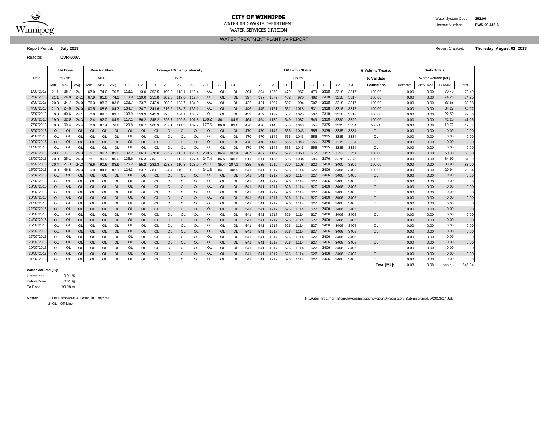

# **CITY OF WINNIPEG** Water System Code: 252.00

WATER SERVICES DIVISION

WATER TREATMENT PLANT UV REPORT

Report Period: **July 2013** Report Created: **Thursday, August 01, 2013**

Reactor: **UVR-500A**

|            |           | <b>UV Dose</b>     |           |           | <b>Reactor Flow</b> |           |           |             |                  |             |                  | <b>Average UV Lamp Intensity</b> |           |           |           |         |         |         |         | <b>UV Lamp Status</b> |         |         |         |       | % Volume Treated   |           | <b>Daily Totals</b> |         |        |
|------------|-----------|--------------------|-----------|-----------|---------------------|-----------|-----------|-------------|------------------|-------------|------------------|----------------------------------|-----------|-----------|-----------|---------|---------|---------|---------|-----------------------|---------|---------|---------|-------|--------------------|-----------|---------------------|---------|--------|
| Date       |           | mJ/cm <sup>2</sup> |           |           | <b>MLD</b>          |           |           |             |                  |             | W/m <sup>2</sup> |                                  |           |           |           |         |         |         |         | Hours                 |         |         |         |       | to Validate        |           | Water Volume [ML]   |         |        |
|            | Min.      | Max.               | Avg.      | Min.      | Max.                | Avg.      | $1 - 1$   | $1 - 2$     | $1 - 3$          | $2 - 1$     | $2 - 2$          | $2 - 3$                          | $3 - 1$   | $3 - 2$   | $3 - 3$   | $1 - 1$ | $1 - 2$ | $1 - 3$ | $2 - 1$ | $2 - 2$               | $2 - 3$ | $3 - 1$ | $3 - 2$ | $3-3$ | <b>Conditions</b>  | Untreated | <b>Below Dose</b>   | To Dose | Total  |
| 1/07/2013  | 21.1      | 26.7               | 24.1      | 67.0      | 74.6                | 70.5      | 113.1     | 113.0       | 253.5            | 199.9       | 113.1            | 113.4                            | <b>OL</b> | <b>OL</b> | OL        | 394     | 394     | 1069    | 479     | 967                   | 479     | 3318    | 3318    | 3317  | 100.00             | 0.00      | 0.00                | 70.49   | 70.49  |
| 2/07/2013  | 21.1      | 24.8               | 24.1      | 67.9      | 81.6                | 74.2      |           | 119.0 119.0 |                  | 253.8 209.3 | 119.0            | 119.4                            | OL        | <b>OL</b> | <b>OL</b> | 397     | 397     | 1072    | 482     | 970                   | 482     | 3318    | 3318    | 3317  | 100.00             | 0.00      | 0.00                | 74.25   | 74.25  |
| 3/07/2013  | 20.8      | 24.7               | 24.0      | 76.3      | 88.3                | 83.6      | 133.7     | 133.7       | 242.9            | 208.0       | 133.7            | 134.0                            | <b>OL</b> | <b>OL</b> | OL        | 422     | 421     | 1097    | 507     | 994                   | 507     | 3318    | 3318    | 3317  | 100.00             | 0.00      | 0.00                | 83.58   | 83.58  |
| 4/07/2013  | 21.0      | 24.6               | 24.0      | 80.5      | 88.6                | 84.3      | 134.7     | 134.7       | 241.6            | 216.2       | 134.7            | 135.1                            | <b>OL</b> | <b>OL</b> | OL        | 446     | 445     | 1121    | 531     | 1018                  | 531     | 3318    | 3318    | 3317  | 100.00             | 0.00      | 0.00                | 84.27   | 84.27  |
| 5/07/2013  | 0.0       | 40.6               | 24.1      | 0.0       | 89.7                | 83.7      | 133.9     | 133.9       | 243.3            | 225.8       | 134.1            | 135.2                            | OL        | OL        | OL        | 452     | 452     | 1127    | 537     | 1025                  | 537     | 3318    | 3318    | 3317  | 100.00             | 0.00      | 0.00                | 22.50   | 22.50  |
| 6/07/2013  | 19.0      | 82.9               | 24.3      | 2.4       | 92.0                | 84.9      | 117.1     |             | 86.2 248.2 225.7 |             | 109.5            | 101.8                            | 180.2     | 86.1      | 84.9      | 464     | 464     | 1139    | 549     | 1037                  | 549     | 3330    | 3330    | 3329  | 100.00             | 0.00      | 0.00                | 41.25   | 41.25  |
| 7/07/2013  | 0.0       | 109.4              | 25.4      | 0.0       | 87.4                | 76.8      | 129.8     | 86.7        | 260.3            | 237.1       | 111.3            | 109.9                            | 177.6     | 86.8      | 89.6      | 470     | 470     | 1145    | 555     | 1043                  | 555     | 3335    | 3335    | 3334  | 99.21              | 0.08      | 0.08                | 19.72   | 19.87  |
| 8/07/2013  | <b>OL</b> | <b>OL</b>          | <b>OL</b> | <b>OL</b> | <b>OL</b>           | <b>OL</b> | OL        | <b>OL</b>   | <b>OL</b>        | <b>OL</b>   | <b>OL</b>        | <b>OL</b>                        | <b>OL</b> | <b>OL</b> | <b>OL</b> | 470     | 470     | 1145    | 555     | 1043                  | 555     | 3335    | 3335    | 3334  | OL                 | 0.00      | 0.00                | 0.00    | 0.00   |
| 9/07/201   | <b>OL</b> | OL                 | OL        | OL        | OL                  | OL        | OL        | <b>OL</b>   | OL               | OL          | $\Omega$         | OL                               | OL        | <b>OL</b> | OL        | 470     | 470     | 1145    | 555     | 1043                  | 555     | 3335    | 3335    | 3334  | OL                 | 0.00      | 0.00                | 0.00    | 0.00   |
| 10/07/201  | <b>OL</b> | <b>OL</b>          | <b>OL</b> | <b>OL</b> | <b>OL</b>           | <b>OL</b> | <b>OL</b> | <b>OL</b>   | <b>OL</b>        | <b>OL</b>   | OL               | <b>OL</b>                        | <b>OL</b> | <b>OL</b> | <b>OL</b> | 470     | 470     | 1145    | 555     | 1043                  | 555     | 3335    | 3335    | 3334  | <b>OL</b>          | 0.00      | 0.00                | 0.00    | 0.00   |
| 11/07/201  | $\Omega$  | OL                 | $\Omega$  | OL        | OL                  | <b>OL</b> | OL        | <b>OL</b>   | $\Omega$         | $\Omega$    | <sup>OL</sup>    | $\Omega$                         | OL        | <b>OL</b> | O         | 470     | 470     | 1145    | 555     | 1043                  | 555     | 3335    | 3335    | 3334  | OL                 | 0.00      | 0.00                | 0.00    | 0.00   |
| 12/07/2013 |           | 20.1 107.1         | 24.3      | 5.7       | 96.7                | 85.0      | 132.2     | 86.3        | 276.0            | 235.9       | 113.1            | 123.4                            | 230.5     | 86.4      | 102.4     | 487     | 487     | 1162    | 572     | 1060                  | 572     | 3352    | 3352    | 3351  | 100.00             | 0.00      | 0.00                | 60.30   | 60.30  |
| 13/07/201  | 20.0      | 25.1               | 24.3      | 78.1      | 90.9                | 85.0      | 135.6     | 86.3        | 282.1            | 232.2       | 112.8            | 127.4                            | 247.4     | 86.5      | 106.      | 511     | 511     | 1186    | 596     | 1084                  | 596     | 3376    | 3376    | 3375  | 100.00             | 0.00      | 0.00                | 84.99   | 84.99  |
| 14/07/2013 | 20.4      | 27.3               | 24.3      | 78.6      | 90.6                | 83.9      | 126.2     |             | 85.2 281.3       | 223.8       | 110.8            | 123.9                            | 247.1     | 85.4      | 107.      | 535     | 535     | 1210    | 620     | 1108                  | 620     | 3400    | 3400    | 3399  | 100.00             | 0.00      | 0.00                | 83.90   | 83.90  |
| 15/07/2013 | 0.0       | 46.8               | 24.3      | 0.0       | 84.6                | 82.       | 124.3     | 83.7        | 281.1            | 224.4       | 110.2            | 118.9                            | 241.3     | 84.1      | 108.9     | 541     | 541     | 1217    | 626     | 1114                  | 627     | 3406    | 3406    | 3405  | 100.00             | 0.00      | 0.00                | 20.94   | 20.94  |
| 16/07/201  | <b>OL</b> | <b>OL</b>          | <b>OL</b> | <b>OL</b> | <b>OL</b>           | <b>OL</b> | OL        | <b>OL</b>   | <b>OL</b>        | <b>OL</b>   | <b>OL</b>        | <b>OL</b>                        | <b>OL</b> | <b>OL</b> | <b>OL</b> | 541     | 541     | 1217    | 626     | 1114                  | 627     | 3406    | 3406    | 3405  | <b>OL</b>          | 0.00      | 0.00                | 0.00    | 0.00   |
| 17/07/2013 | <b>OL</b> | OL                 | OL        | OL        | OL                  | O         | OL        | <b>OL</b>   | OL               | OL          | OL               | OL                               | <b>OL</b> | <b>OL</b> | O         | 541     | 541     | 1217    | 626     | 1114                  | 627     | 3406    | 3406    | 3405  | OL                 | 0.00      | 0.00                | 0.00    | 0.00   |
| 18/07/201  | <b>OL</b> | <b>OL</b>          | OL        | OL        | OL                  | <b>OL</b> | OL.       | <b>OL</b>   | <b>OL</b>        | $\Omega$    | OL               | <b>OL</b>                        | <b>OL</b> | <b>OL</b> | OL        | 541     | 541     | 1217    | 626     | 1114                  | 627     | 3406    | 3406    | 3405  | OL                 | 0.00      | 0.00                | 0.00    | 0.00   |
| 19/07/2013 | OL        | OL                 | OL        | OL        | OL                  | O         | OL        | OL          | OL               | <b>OL</b>   | OL               | OL                               | <b>OL</b> | OL        | O         | 541     | 541     | 1217    | 626     | 1114                  | 627     | 3406    | 3406    | 3405  | OL                 | 0.00      | 0.00                | 0.00    | 0.00   |
| 20/07/2013 | <b>OL</b> | <b>OL</b>          | <b>OL</b> | <b>OL</b> | <b>OL</b>           | <b>OL</b> | OL.       | <b>OL</b>   | <b>OL</b>        | <b>OL</b>   | <b>OL</b>        | <b>OL</b>                        | OL        | <b>OL</b> | <b>OL</b> | 541     | 541     | 1217    | 626     | 1114                  | 627     | 3406    | 3406    | 3405  | <b>OL</b>          | 0.00      | 0.00                | 0.00    | 0.00   |
| 21/07/2013 | OL        | OL                 | OL        | OL        | OL                  | OL        | OL        | OL          | OL               | OL          | OL               | <b>OL</b>                        | OL        | <b>OL</b> | OL        | 541     | 541     | 1217    | 626     | 1114                  | 627     | 3406    | 3406    | 3405  | OL                 | 0.00      | 0.00                | 0.00    | 0.00   |
| 22/07/201: | <b>OL</b> | <b>OL</b>          | OL        | OL        | <b>OL</b>           | <b>OL</b> | <b>OL</b> | <b>OL</b>   | <b>OL</b>        | OL          | <b>OL</b>        | <b>OL</b>                        | <b>OL</b> | <b>OL</b> | OL        | 541     | 541     | 1217    | 626     | 1114                  | 627     | 3406    | 3406    | 3405  | OL                 | 0.00      | 0.00                | 0.00    | 0.00   |
| 23/07/2013 | OL        | OL                 | OL        | OL        | OL                  | OL        | OL        | OL          | OL               | OL          | OL               | OL                               | OL        | OL        | OL        | 541     | 541     | 1217    | 626     | 1114                  | 627     | 3406    | 3406    | 3405  | OL                 | 0.00      | 0.00                | 0.00    | 0.00   |
| 24/07/2013 | <b>OL</b> | <b>OL</b>          | <b>OL</b> | <b>OL</b> | <b>OL</b>           | <b>OL</b> | <b>OL</b> | <b>OL</b>   | <b>OL</b>        | <b>OL</b>   | <b>OL</b>        | <b>OL</b>                        | <b>OL</b> | <b>OL</b> | OL        | 541     | 541     | 1217    | 626     | 1114                  | 627     | 3406    | 3406    | 3405  | <b>OL</b>          | 0.00      | 0.00                | 0.00    | 0.00   |
| 25/07/2013 | <b>OL</b> | OL                 | OL        | OL        | OL                  | OL        | OL        | <b>OL</b>   | OL               | <b>OL</b>   | OL               | OL                               | OL        | <b>OL</b> | O         | 541     | 541     | 1217    | 626     | 1114                  | 627     | 3406    | 3406    | 3405  | OL                 | 0.00      | 0.00                | 0.00    | 0.00   |
| 26/07/2013 | <b>OL</b> | <b>OL</b>          | <b>OL</b> | <b>OL</b> | OL                  | <b>OL</b> | <b>OL</b> | <b>OL</b>   | <b>OL</b>        | <b>OL</b>   | <b>OL</b>        | <b>OL</b>                        | <b>OL</b> | <b>OL</b> | OL        | 541     | 541     | 1217    | 626     | 1114                  | 627     | 3406    | 3406    | 3405  | OL                 | 0.00      | 0.00                | 0.00    | 0.00   |
| 27/07/2013 | <b>OL</b> | OL                 | OL        | OL        | OL                  | OL        | OL        | <b>OL</b>   | OL               | <b>OL</b>   | OL               | <b>OL</b>                        | OL        | <b>OL</b> | O         | 541     | 541     | 1217    | 626     | 1114                  | 627     | 3406    | 3406    | 3405  | OL                 | 0.00      | 0.00                | 0.00    | 0.00   |
| 28/07/2013 | <b>OL</b> | <b>OL</b>          | <b>OL</b> | <b>OL</b> | <b>OL</b>           | <b>OL</b> | OL        | <b>OL</b>   | <b>OL</b>        | <b>OL</b>   | <b>OL</b>        | <b>OL</b>                        | OL        | <b>OL</b> | <b>OL</b> | 541     | 541     | 1217    | 626     | 1114                  | 627     | 3406    | 3406    | 3405  | <b>OL</b>          | 0.00      | 0.00                | 0.00    | 0.00   |
| 29/07/2013 | OL        | OL                 | $\Omega$  | OL        | OL                  | OL        | OL        | <b>OL</b>   | OL               | OL          | OL               | OL                               | OL        | OL        | O         | 541     | 541     | 1217    | 626     | 1114                  | 627     | 3406    | 3406    | 3405  | OL                 | 0.00      | 0.00                | 0.00    | 0.00   |
| 30/07/2013 | <b>OL</b> | <b>OL</b>          | OL        | <b>OL</b> | <b>OL</b>           | <b>OL</b> | <b>OL</b> | OL          | OL               | <b>OL</b>   | <b>OL</b>        | <b>OL</b>                        | <b>OL</b> | <b>OL</b> | <b>OL</b> | 541     | 541     | 1217    | 626     | 1114                  | 627     | 3406    | 3406    | 3405  | <b>OL</b>          | 0.00      | 0.00                | 0.00    | 0.00   |
| 31/07/2013 | <b>OL</b> | OL                 | OL        | OL        | OL                  | O         | OL        | OL          | OL               | <b>OL</b>   | OL               | OL                               | OL        | OL        | O         | 541     | 541     | 1217    | 626     | 1114                  | 627     | 3406    | 3406    | 3405  | OL                 | 0.00      | 0.00                | 0.00    | 0.00   |
|            |           |                    |           |           |                     |           |           |             |                  |             |                  |                                  |           |           |           |         |         |         |         |                       |         |         |         |       | <b>Total [ML]:</b> | 0.08      | 0.08                | 646.18  | 646.34 |

### **Water Volume [%]:**

0.01 %  $0.01%$ 99.98 % To Dose Below Dose Untreated:

2. OL - Off Line

Notes: 1. UV Comparative Dose: 18.1 mj/cm<sup>2</sup> and the state of the state of the state of the state of the state of the state of the state of the state of the state of the state of the state of the state of the state of the